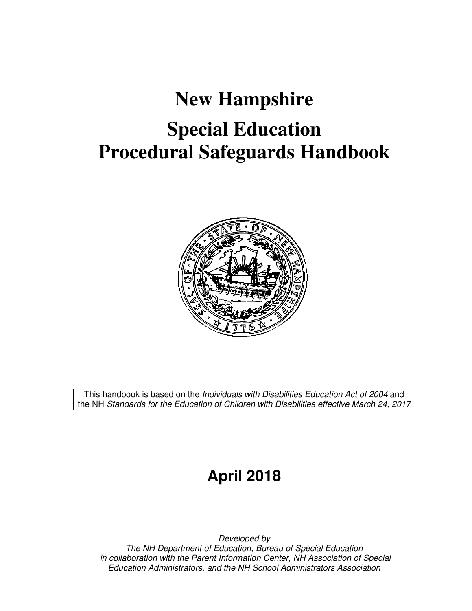# **New Hampshire Special Education Procedural Safeguards Handbook**



This handbook is based on the Individuals with Disabilities Education Act of 2004 and the NH Standards for the Education of Children with Disabilities effective March 24, 2017

## **April 2018**

Developed by The NH Department of Education, Bureau of Special Education in collaboration with the Parent Information Center, NH Association of Special Education Administrators, and the NH School Administrators Association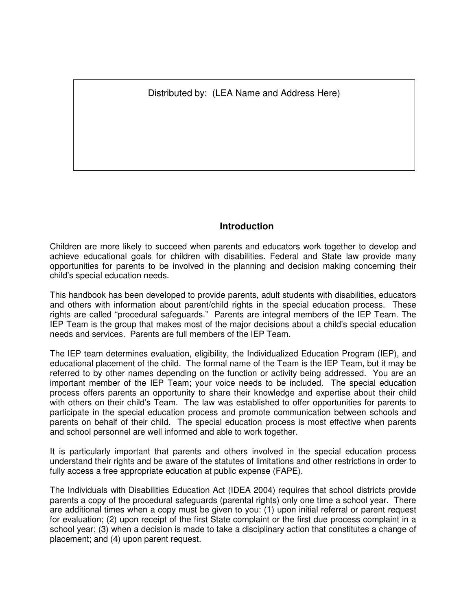Distributed by: (LEA Name and Address Here)

#### **Introduction**

Children are more likely to succeed when parents and educators work together to develop and achieve educational goals for children with disabilities. Federal and State law provide many opportunities for parents to be involved in the planning and decision making concerning their child's special education needs.

This handbook has been developed to provide parents, adult students with disabilities, educators and others with information about parent/child rights in the special education process. These rights are called "procedural safeguards." Parents are integral members of the IEP Team. The IEP Team is the group that makes most of the major decisions about a child's special education needs and services. Parents are full members of the IEP Team.

The IEP team determines evaluation, eligibility, the Individualized Education Program (IEP), and educational placement of the child. The formal name of the Team is the IEP Team, but it may be referred to by other names depending on the function or activity being addressed. You are an important member of the IEP Team; your voice needs to be included. The special education process offers parents an opportunity to share their knowledge and expertise about their child with others on their child's Team. The law was established to offer opportunities for parents to participate in the special education process and promote communication between schools and parents on behalf of their child. The special education process is most effective when parents and school personnel are well informed and able to work together.

It is particularly important that parents and others involved in the special education process understand their rights and be aware of the statutes of limitations and other restrictions in order to fully access a free appropriate education at public expense (FAPE).

The Individuals with Disabilities Education Act (IDEA 2004) requires that school districts provide parents a copy of the procedural safeguards (parental rights) only one time a school year. There are additional times when a copy must be given to you: (1) upon initial referral or parent request for evaluation; (2) upon receipt of the first State complaint or the first due process complaint in a school year; (3) when a decision is made to take a disciplinary action that constitutes a change of placement; and (4) upon parent request.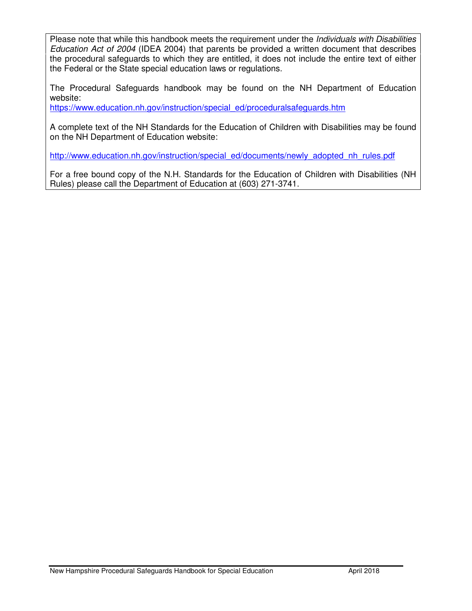Please note that while this handbook meets the requirement under the *Individuals with Disabilities* Education Act of 2004 (IDEA 2004) that parents be provided a written document that describes the procedural safeguards to which they are entitled, it does not include the entire text of either the Federal or the State special education laws or regulations.

The Procedural Safeguards handbook may be found on the NH Department of Education website:

https://www.education.nh.gov/instruction/special\_ed/proceduralsafeguards.htm

A complete text of the NH Standards for the Education of Children with Disabilities may be found on the NH Department of Education website:

http://www.education.nh.gov/instruction/special\_ed/documents/newly\_adopted\_nh\_rules.pdf

For a free bound copy of the N.H. Standards for the Education of Children with Disabilities (NH Rules) please call the Department of Education at (603) 271-3741.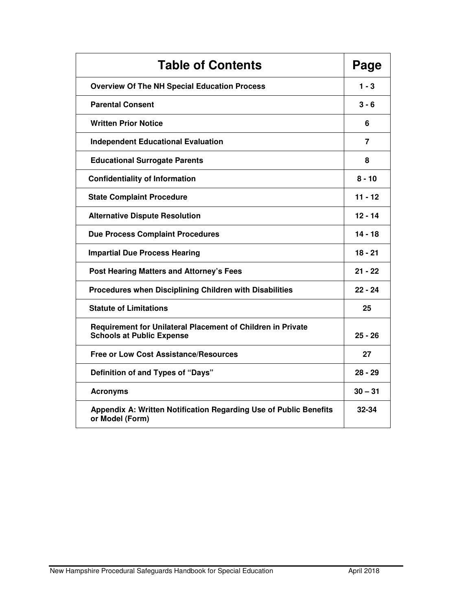| <b>Table of Contents</b>                                                                        |           |
|-------------------------------------------------------------------------------------------------|-----------|
| <b>Overview Of The NH Special Education Process</b>                                             | $1 - 3$   |
| <b>Parental Consent</b>                                                                         | $3 - 6$   |
| <b>Written Prior Notice</b>                                                                     | 6         |
| <b>Independent Educational Evaluation</b>                                                       | 7         |
| <b>Educational Surrogate Parents</b>                                                            | 8         |
| <b>Confidentiality of Information</b>                                                           | $8 - 10$  |
| <b>State Complaint Procedure</b>                                                                | 11 - 12   |
| <b>Alternative Dispute Resolution</b>                                                           | $12 - 14$ |
| <b>Due Process Complaint Procedures</b>                                                         | $14 - 18$ |
| <b>Impartial Due Process Hearing</b>                                                            | $18 - 21$ |
| <b>Post Hearing Matters and Attorney's Fees</b>                                                 | $21 - 22$ |
| Procedures when Disciplining Children with Disabilities                                         | $22 - 24$ |
| <b>Statute of Limitations</b>                                                                   | 25        |
| Requirement for Unilateral Placement of Children in Private<br><b>Schools at Public Expense</b> | $25 - 26$ |
| <b>Free or Low Cost Assistance/Resources</b>                                                    | 27        |
| Definition of and Types of "Days"                                                               | $28 - 29$ |
| <b>Acronyms</b>                                                                                 | $30 - 31$ |
| Appendix A: Written Notification Regarding Use of Public Benefits<br>or Model (Form)            | 32-34     |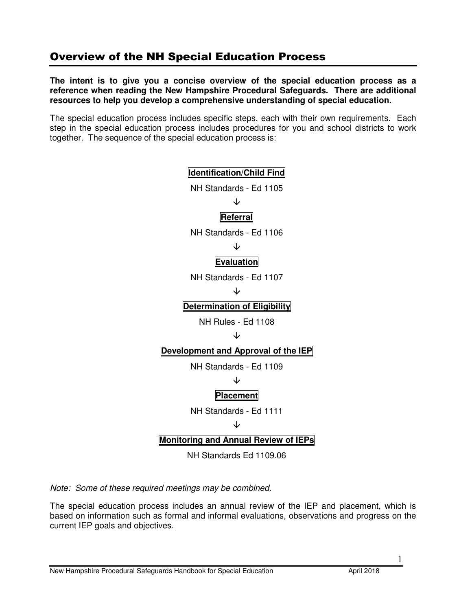### Overview of the NH Special Education Process

**The intent is to give you a concise overview of the special education process as a reference when reading the New Hampshire Procedural Safeguards. There are additional resources to help you develop a comprehensive understanding of special education.** 

The special education process includes specific steps, each with their own requirements. Each step in the special education process includes procedures for you and school districts to work together. The sequence of the special education process is:

### **Identification/Child Find**  NH Standards - Ed 1105 JZ **Referral**  NH Standards - Ed 1106 ↓ **Evaluation** NH Standards - Ed 1107 ↓ **Determination of Eligibility**  NH Rules - Ed 1108 ↓ **Development and Approval of the IEP**  NH Standards - Ed 1109 ↓ **Placement**  NH Standards - Ed 1111 ↓ **Monitoring and Annual Review of IEPs**  NH Standards Ed 1109.06

Note: Some of these required meetings may be combined.

The special education process includes an annual review of the IEP and placement, which is based on information such as formal and informal evaluations, observations and progress on the current IEP goals and objectives.

1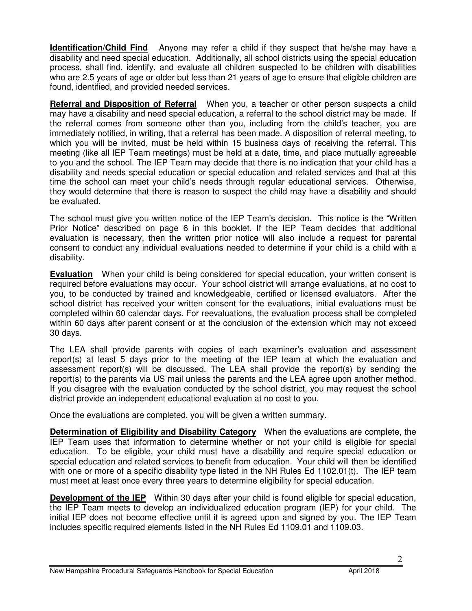**Identification/Child Find** Anyone may refer a child if they suspect that he/she may have a disability and need special education. Additionally, all school districts using the special education process, shall find, identify, and evaluate all children suspected to be children with disabilities who are 2.5 years of age or older but less than 21 years of age to ensure that eligible children are found, identified, and provided needed services.

**Referral and Disposition of Referral** When you, a teacher or other person suspects a child may have a disability and need special education, a referral to the school district may be made. If the referral comes from someone other than you, including from the child's teacher, you are immediately notified, in writing, that a referral has been made. A disposition of referral meeting, to which you will be invited, must be held within 15 business days of receiving the referral. This meeting (like all IEP Team meetings) must be held at a date, time, and place mutually agreeable to you and the school. The IEP Team may decide that there is no indication that your child has a disability and needs special education or special education and related services and that at this time the school can meet your child's needs through regular educational services. Otherwise, they would determine that there is reason to suspect the child may have a disability and should be evaluated.

The school must give you written notice of the IEP Team's decision. This notice is the "Written Prior Notice" described on page 6 in this booklet. If the IEP Team decides that additional evaluation is necessary, then the written prior notice will also include a request for parental consent to conduct any individual evaluations needed to determine if your child is a child with a disability.

**Evaluation** When your child is being considered for special education, your written consent is required before evaluations may occur. Your school district will arrange evaluations, at no cost to you, to be conducted by trained and knowledgeable, certified or licensed evaluators. After the school district has received your written consent for the evaluations, initial evaluations must be completed within 60 calendar days. For reevaluations, the evaluation process shall be completed within 60 days after parent consent or at the conclusion of the extension which may not exceed 30 days.

The LEA shall provide parents with copies of each examiner's evaluation and assessment report(s) at least 5 days prior to the meeting of the IEP team at which the evaluation and assessment report(s) will be discussed. The LEA shall provide the report(s) by sending the report(s) to the parents via US mail unless the parents and the LEA agree upon another method. If you disagree with the evaluation conducted by the school district, you may request the school district provide an independent educational evaluation at no cost to you.

Once the evaluations are completed, you will be given a written summary.

**Determination of Eligibility and Disability Category** When the evaluations are complete, the IEP Team uses that information to determine whether or not your child is eligible for special education. To be eligible, your child must have a disability and require special education or special education and related services to benefit from education. Your child will then be identified with one or more of a specific disability type listed in the NH Rules Ed 1102.01(t). The IEP team must meet at least once every three years to determine eligibility for special education.

**Development of the IEP** Within 30 days after your child is found eligible for special education, the IEP Team meets to develop an individualized education program (IEP) for your child. The initial IEP does not become effective until it is agreed upon and signed by you. The IEP Team includes specific required elements listed in the NH Rules Ed 1109.01 and 1109.03.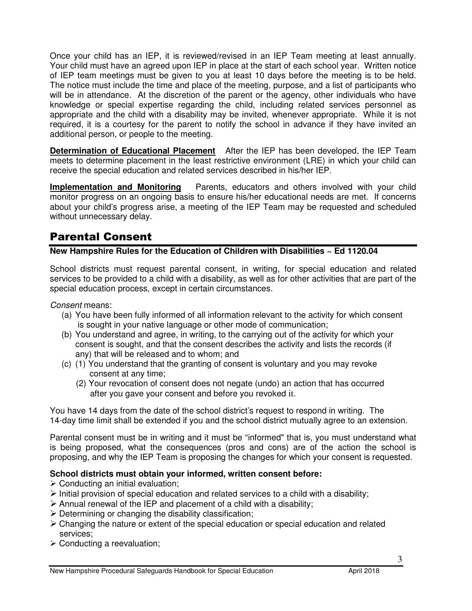Once your child has an IEP, it is reviewed/revised in an IEP Team meeting at least annually. Your child must have an agreed upon IEP in place at the start of each school year. Written notice of IEP team meetings must be given to you at least 10 days before the meeting is to be held. The notice must include the time and place of the meeting, purpose, and a list of participants who will be in attendance. At the discretion of the parent or the agency, other individuals who have knowledge or special expertise regarding the child, including related services personnel as appropriate and the child with a disability may be invited, whenever appropriate. While it is not required, it is a courtesy for the parent to notify the school in advance if they have invited an additional person, or people to the meeting.

**Determination of Educational Placement** After the IEP has been developed, the IEP Team meets to determine placement in the least restrictive environment (LRE) in which your child can receive the special education and related services described in his/her IEP.

**Implementation and Monitoring** Parents, educators and others involved with your child monitor progress on an ongoing basis to ensure his/her educational needs are met. If concerns about your child's progress arise, a meeting of the IEP Team may be requested and scheduled without unnecessary delay.

### Parental Consent

#### **New Hampshire Rules for the Education of Children with Disabilities ~ Ed 1120.04**

School districts must request parental consent, in writing, for special education and related services to be provided to a child with a disability, as well as for other activities that are part of the special education process, except in certain circumstances.

Consent means:

- (a) You have been fully informed of all information relevant to the activity for which consent is sought in your native language or other mode of communication;
- (b) You understand and agree, in writing, to the carrying out of the activity for which your consent is sought, and that the consent describes the activity and lists the records (if any) that will be released and to whom; and
- (c) (1) You understand that the granting of consent is voluntary and you may revoke consent at any time;
	- (2) Your revocation of consent does not negate (undo) an action that has occurred after you gave your consent and before you revoked it.

You have 14 days from the date of the school district's request to respond in writing. The 14-day time limit shall be extended if you and the school district mutually agree to an extension.

Parental consent must be in writing and it must be "informed" that is, you must understand what is being proposed, what the consequences (pros and cons) are of the action the school is proposing, and why the IEP Team is proposing the changes for which your consent is requested.

#### **School districts must obtain your informed, written consent before:**

- > Conducting an initial evaluation;
- > Initial provision of special education and related services to a child with a disability;
- > Annual renewal of the IEP and placement of a child with a disability;
- > Determining or changing the disability classification;
- > Changing the nature or extent of the special education or special education and related services;
- > Conducting a reevaluation;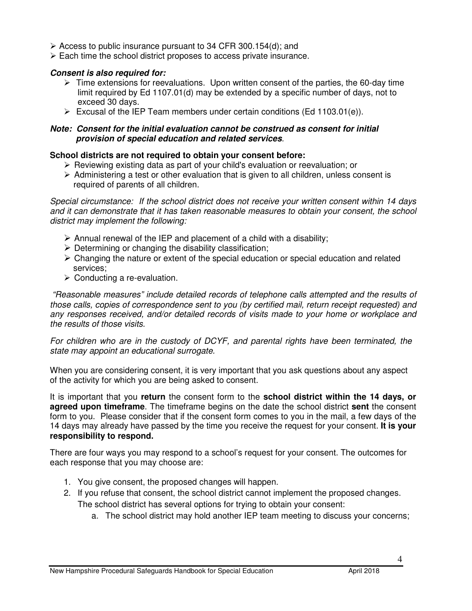- Access to public insurance pursuant to 34 CFR 300.154(d); and
- > Each time the school district proposes to access private insurance.

#### **Consent is also required for:**

- > Time extensions for reevaluations. Upon written consent of the parties, the 60-day time limit required by Ed 1107.01(d) may be extended by a specific number of days, not to exceed 30 days.
- > Excusal of the IEP Team members under certain conditions (Ed 1103.01(e)).

#### **Note: Consent for the initial evaluation cannot be construed as consent for initial provision of special education and related services**.

#### **School districts are not required to obtain your consent before:**

- > Reviewing existing data as part of your child's evaluation or reevaluation; or
- > Administering a test or other evaluation that is given to all children, unless consent is required of parents of all children.

Special circumstance: If the school district does not receive your written consent within 14 days and it can demonstrate that it has taken reasonable measures to obtain your consent, the school district may implement the following:

- > Annual renewal of the IEP and placement of a child with a disability;
- > Determining or changing the disability classification;
- > Changing the nature or extent of the special education or special education and related services;
- > Conducting a re-evaluation.

 "Reasonable measures" include detailed records of telephone calls attempted and the results of those calls, copies of correspondence sent to you (by certified mail, return receipt requested) and any responses received, and/or detailed records of visits made to your home or workplace and the results of those visits.

For children who are in the custody of DCYF, and parental rights have been terminated, the state may appoint an educational surrogate.

When you are considering consent, it is very important that you ask questions about any aspect of the activity for which you are being asked to consent.

It is important that you **return** the consent form to the **school district within the 14 days, or agreed upon timeframe**. The timeframe begins on the date the school district **sent** the consent form to you. Please consider that if the consent form comes to you in the mail, a few days of the 14 days may already have passed by the time you receive the request for your consent. **It is your responsibility to respond.** 

There are four ways you may respond to a school's request for your consent. The outcomes for each response that you may choose are:

- 1. You give consent, the proposed changes will happen.
- 2. If you refuse that consent, the school district cannot implement the proposed changes. The school district has several options for trying to obtain your consent:
	- a. The school district may hold another IEP team meeting to discuss your concerns;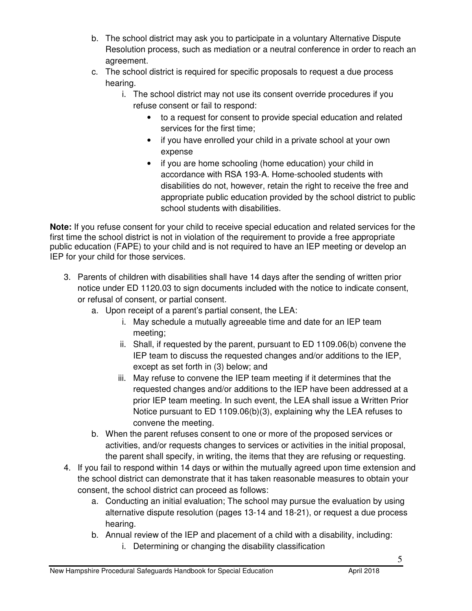- b. The school district may ask you to participate in a voluntary Alternative Dispute Resolution process, such as mediation or a neutral conference in order to reach an agreement.
- c. The school district is required for specific proposals to request a due process hearing.
	- i. The school district may not use its consent override procedures if you refuse consent or fail to respond:
		- to a request for consent to provide special education and related services for the first time;
		- if you have enrolled your child in a private school at your own expense
		- if you are home schooling (home education) your child in accordance with RSA 193-A. Home-schooled students with disabilities do not, however, retain the right to receive the free and appropriate public education provided by the school district to public school students with disabilities.

**Note:** If you refuse consent for your child to receive special education and related services for the first time the school district is not in violation of the requirement to provide a free appropriate public education (FAPE) to your child and is not required to have an IEP meeting or develop an IEP for your child for those services.

- 3. Parents of children with disabilities shall have 14 days after the sending of written prior notice under ED 1120.03 to sign documents included with the notice to indicate consent, or refusal of consent, or partial consent.
	- a. Upon receipt of a parent's partial consent, the LEA:
		- i. May schedule a mutually agreeable time and date for an IEP team meeting;
		- ii. Shall, if requested by the parent, pursuant to ED 1109.06(b) convene the IEP team to discuss the requested changes and/or additions to the IEP, except as set forth in (3) below; and
		- iii. May refuse to convene the IEP team meeting if it determines that the requested changes and/or additions to the IEP have been addressed at a prior IEP team meeting. In such event, the LEA shall issue a Written Prior Notice pursuant to ED 1109.06(b)(3), explaining why the LEA refuses to convene the meeting.
	- b. When the parent refuses consent to one or more of the proposed services or activities, and/or requests changes to services or activities in the initial proposal, the parent shall specify, in writing, the items that they are refusing or requesting.
- 4. If you fail to respond within 14 days or within the mutually agreed upon time extension and the school district can demonstrate that it has taken reasonable measures to obtain your consent, the school district can proceed as follows:
	- a. Conducting an initial evaluation; The school may pursue the evaluation by using alternative dispute resolution (pages 13-14 and 18-21), or request a due process hearing.
	- b. Annual review of the IEP and placement of a child with a disability, including: i. Determining or changing the disability classification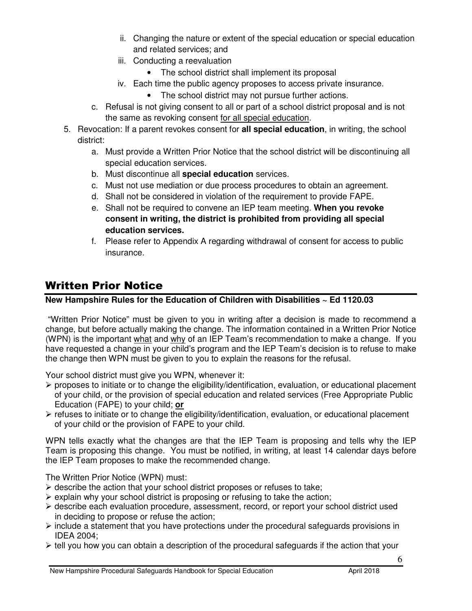- ii. Changing the nature or extent of the special education or special education and related services; and
- iii. Conducting a reevaluation
	- The school district shall implement its proposal
- iv. Each time the public agency proposes to access private insurance.
	- The school district may not pursue further actions.
- c. Refusal is not giving consent to all or part of a school district proposal and is not the same as revoking consent for all special education.
- 5. Revocation: If a parent revokes consent for **all special education**, in writing, the school district:
	- a. Must provide a Written Prior Notice that the school district will be discontinuing all special education services.
	- b. Must discontinue all **special education** services.
	- c. Must not use mediation or due process procedures to obtain an agreement.
	- d. Shall not be considered in violation of the requirement to provide FAPE.
	- e. Shall not be required to convene an IEP team meeting. **When you revoke consent in writing, the district is prohibited from providing all special education services.**
	- f. Please refer to Appendix A regarding withdrawal of consent for access to public insurance.

### Written Prior Notice

#### **New Hampshire Rules for the Education of Children with Disabilities ~ Ed 1120.03**

"Written Prior Notice" must be given to you in writing after a decision is made to recommend a change, but before actually making the change. The information contained in a Written Prior Notice (WPN) is the important what and why of an IEP Team's recommendation to make a change. If you have requested a change in your child's program and the IEP Team's decision is to refuse to make the change then WPN must be given to you to explain the reasons for the refusal.

Your school district must give you WPN, whenever it:

- proposes to initiate or to change the eligibility/identification, evaluation, or educational placement of your child, or the provision of special education and related services (Free Appropriate Public Education (FAPE) to your child; **or**
- > refuses to initiate or to change the eligibility/identification, evaluation, or educational placement of your child or the provision of FAPE to your child.

WPN tells exactly what the changes are that the IEP Team is proposing and tells why the IEP Team is proposing this change. You must be notified, in writing, at least 14 calendar days before the IEP Team proposes to make the recommended change.

The Written Prior Notice (WPN) must:

- > describe the action that your school district proposes or refuses to take;
- > explain why your school district is proposing or refusing to take the action;
- > describe each evaluation procedure, assessment, record, or report your school district used in deciding to propose or refuse the action;
- > include a statement that you have protections under the procedural safeguards provisions in IDEA 2004;
- > tell you how you can obtain a description of the procedural safeguards if the action that your

6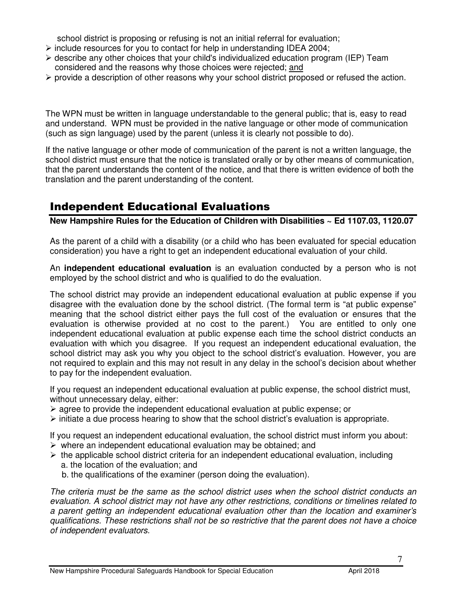school district is proposing or refusing is not an initial referral for evaluation;

- include resources for you to contact for help in understanding IDEA 2004;
- > describe any other choices that your child's individualized education program (IEP) Team considered and the reasons why those choices were rejected; and
- > provide a description of other reasons why your school district proposed or refused the action.

The WPN must be written in language understandable to the general public; that is, easy to read and understand. WPN must be provided in the native language or other mode of communication (such as sign language) used by the parent (unless it is clearly not possible to do).

If the native language or other mode of communication of the parent is not a written language, the school district must ensure that the notice is translated orally or by other means of communication, that the parent understands the content of the notice, and that there is written evidence of both the translation and the parent understanding of the content.

### Independent Educational Evaluations

**New Hampshire Rules for the Education of Children with Disabilities ~ Ed 1107.03, 1120.07** 

As the parent of a child with a disability (or a child who has been evaluated for special education consideration) you have a right to get an independent educational evaluation of your child.

An **independent educational evaluation** is an evaluation conducted by a person who is not employed by the school district and who is qualified to do the evaluation.

The school district may provide an independent educational evaluation at public expense if you disagree with the evaluation done by the school district. (The formal term is "at public expense" meaning that the school district either pays the full cost of the evaluation or ensures that the evaluation is otherwise provided at no cost to the parent.) You are entitled to only one independent educational evaluation at public expense each time the school district conducts an evaluation with which you disagree. If you request an independent educational evaluation, the school district may ask you why you object to the school district's evaluation. However, you are not required to explain and this may not result in any delay in the school's decision about whether to pay for the independent evaluation.

If you request an independent educational evaluation at public expense, the school district must, without unnecessary delay, either:

- > agree to provide the independent educational evaluation at public expense; or
- initiate a due process hearing to show that the school district's evaluation is appropriate.

If you request an independent educational evaluation, the school district must inform you about:

- $\triangleright$  where an independent educational evaluation may be obtained; and
- > the applicable school district criteria for an independent educational evaluation, including a. the location of the evaluation; and
	- b. the qualifications of the examiner (person doing the evaluation).

The criteria must be the same as the school district uses when the school district conducts an evaluation. A school district may not have any other restrictions, conditions or timelines related to a parent getting an independent educational evaluation other than the location and examiner's qualifications. These restrictions shall not be so restrictive that the parent does not have a choice of independent evaluators.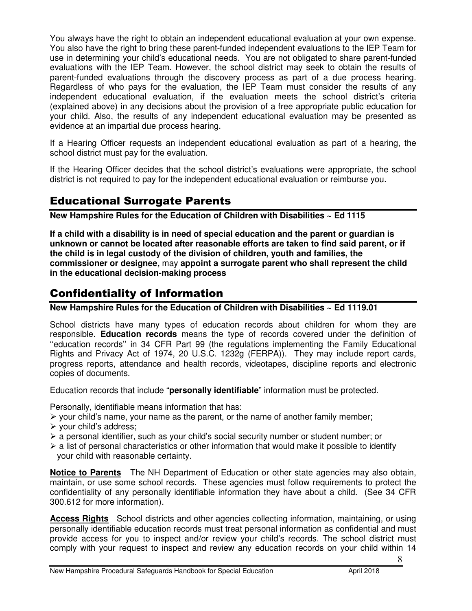You always have the right to obtain an independent educational evaluation at your own expense. You also have the right to bring these parent-funded independent evaluations to the IEP Team for use in determining your child's educational needs. You are not obligated to share parent-funded evaluations with the IEP Team. However, the school district may seek to obtain the results of parent-funded evaluations through the discovery process as part of a due process hearing. Regardless of who pays for the evaluation, the IEP Team must consider the results of any independent educational evaluation, if the evaluation meets the school district's criteria (explained above) in any decisions about the provision of a free appropriate public education for your child. Also, the results of any independent educational evaluation may be presented as evidence at an impartial due process hearing.

If a Hearing Officer requests an independent educational evaluation as part of a hearing, the school district must pay for the evaluation.

If the Hearing Officer decides that the school district's evaluations were appropriate, the school district is not required to pay for the independent educational evaluation or reimburse you.

### Educational Surrogate Parents

**New Hampshire Rules for the Education of Children with Disabilities ~ Ed 1115** 

**If a child with a disability is in need of special education and the parent or guardian is unknown or cannot be located after reasonable efforts are taken to find said parent, or if the child is in legal custody of the division of children, youth and families, the commissioner or designee,** may **appoint a surrogate parent who shall represent the child in the educational decision-making process**

### Confidentiality of Information

**New Hampshire Rules for the Education of Children with Disabilities ~ Ed 1119.01** 

School districts have many types of education records about children for whom they are responsible. **Education records** means the type of records covered under the definition of ''education records'' in 34 CFR Part 99 (the regulations implementing the Family Educational Rights and Privacy Act of 1974, 20 U.S.C. 1232g (FERPA)). They may include report cards, progress reports, attendance and health records, videotapes, discipline reports and electronic copies of documents.

Education records that include "**personally identifiable**" information must be protected.

Personally, identifiable means information that has:

- your child's name, your name as the parent, or the name of another family member;
- > your child's address;
- > a personal identifier, such as your child's social security number or student number; or
- $\triangleright$  a list of personal characteristics or other information that would make it possible to identify your child with reasonable certainty.

**Notice to Parents** The NH Department of Education or other state agencies may also obtain, maintain, or use some school records. These agencies must follow requirements to protect the confidentiality of any personally identifiable information they have about a child. (See 34 CFR 300.612 for more information).

**Access Rights** School districts and other agencies collecting information, maintaining, or using personally identifiable education records must treat personal information as confidential and must provide access for you to inspect and/or review your child's records. The school district must comply with your request to inspect and review any education records on your child within 14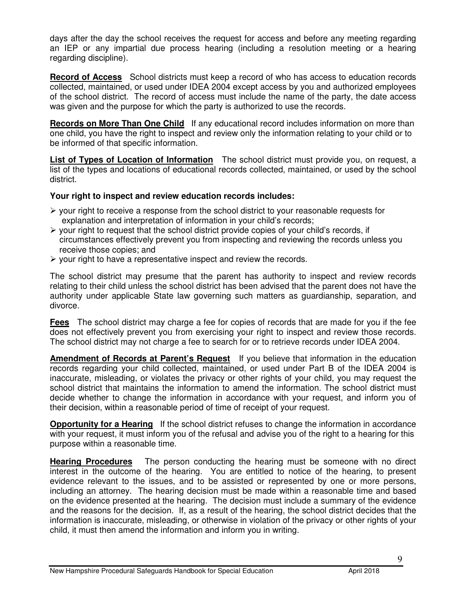days after the day the school receives the request for access and before any meeting regarding an IEP or any impartial due process hearing (including a resolution meeting or a hearing regarding discipline).

**Record of Access** School districts must keep a record of who has access to education records collected, maintained, or used under IDEA 2004 except access by you and authorized employees of the school district. The record of access must include the name of the party, the date access was given and the purpose for which the party is authorized to use the records.

**Records on More Than One Child** If any educational record includes information on more than one child, you have the right to inspect and review only the information relating to your child or to be informed of that specific information.

**List of Types of Location of Information** The school district must provide you, on request, a list of the types and locations of educational records collected, maintained, or used by the school district.

#### **Your right to inspect and review education records includes:**

- your right to receive a response from the school district to your reasonable requests for explanation and interpretation of information in your child's records;
- > your right to request that the school district provide copies of your child's records, if circumstances effectively prevent you from inspecting and reviewing the records unless you receive those copies; and
- your right to have a representative inspect and review the records.

The school district may presume that the parent has authority to inspect and review records relating to their child unless the school district has been advised that the parent does not have the authority under applicable State law governing such matters as guardianship, separation, and divorce.

**Fees** The school district may charge a fee for copies of records that are made for you if the fee does not effectively prevent you from exercising your right to inspect and review those records. The school district may not charge a fee to search for or to retrieve records under IDEA 2004.

**Amendment of Records at Parent's Request** If you believe that information in the education records regarding your child collected, maintained, or used under Part B of the IDEA 2004 is inaccurate, misleading, or violates the privacy or other rights of your child, you may request the school district that maintains the information to amend the information. The school district must decide whether to change the information in accordance with your request, and inform you of their decision, within a reasonable period of time of receipt of your request.

**Opportunity for a Hearing** If the school district refuses to change the information in accordance with your request, it must inform you of the refusal and advise you of the right to a hearing for this purpose within a reasonable time.

**Hearing Procedures** The person conducting the hearing must be someone with no direct interest in the outcome of the hearing. You are entitled to notice of the hearing, to present evidence relevant to the issues, and to be assisted or represented by one or more persons, including an attorney. The hearing decision must be made within a reasonable time and based on the evidence presented at the hearing. The decision must include a summary of the evidence and the reasons for the decision. If, as a result of the hearing, the school district decides that the information is inaccurate, misleading, or otherwise in violation of the privacy or other rights of your child, it must then amend the information and inform you in writing.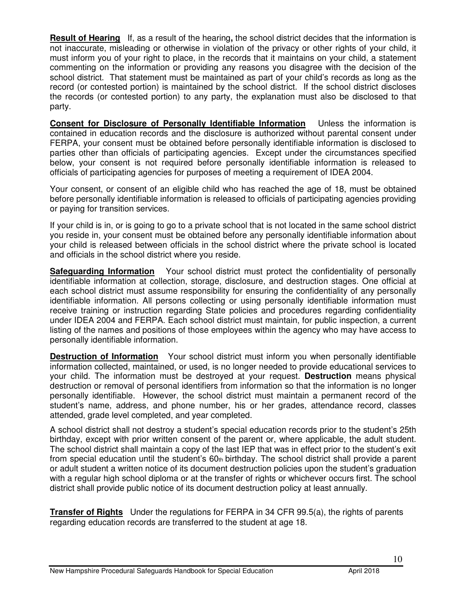**Result of Hearing** If, as a result of the hearing**,** the school district decides that the information is not inaccurate, misleading or otherwise in violation of the privacy or other rights of your child, it must inform you of your right to place, in the records that it maintains on your child, a statement commenting on the information or providing any reasons you disagree with the decision of the school district. That statement must be maintained as part of your child's records as long as the record (or contested portion) is maintained by the school district. If the school district discloses the records (or contested portion) to any party, the explanation must also be disclosed to that party.

**Consent for Disclosure of Personally Identifiable Information** Unless the information is contained in education records and the disclosure is authorized without parental consent under FERPA, your consent must be obtained before personally identifiable information is disclosed to parties other than officials of participating agencies. Except under the circumstances specified below, your consent is not required before personally identifiable information is released to officials of participating agencies for purposes of meeting a requirement of IDEA 2004.

Your consent, or consent of an eligible child who has reached the age of 18, must be obtained before personally identifiable information is released to officials of participating agencies providing or paying for transition services.

If your child is in, or is going to go to a private school that is not located in the same school district you reside in, your consent must be obtained before any personally identifiable information about your child is released between officials in the school district where the private school is located and officials in the school district where you reside.

**Safeguarding Information** Your school district must protect the confidentiality of personally identifiable information at collection, storage, disclosure, and destruction stages. One official at each school district must assume responsibility for ensuring the confidentiality of any personally identifiable information. All persons collecting or using personally identifiable information must receive training or instruction regarding State policies and procedures regarding confidentiality under IDEA 2004 and FERPA. Each school district must maintain, for public inspection, a current listing of the names and positions of those employees within the agency who may have access to personally identifiable information.

**Destruction of Information** Your school district must inform you when personally identifiable information collected, maintained, or used, is no longer needed to provide educational services to your child. The information must be destroyed at your request. **Destruction** means physical destruction or removal of personal identifiers from information so that the information is no longer personally identifiable. However, the school district must maintain a permanent record of the student's name, address, and phone number, his or her grades, attendance record, classes attended, grade level completed, and year completed.

A school district shall not destroy a student's special education records prior to the student's 25th birthday, except with prior written consent of the parent or, where applicable, the adult student. The school district shall maintain a copy of the last IEP that was in effect prior to the student's exit from special education until the student's  $60<sub>th</sub>$  birthday. The school district shall provide a parent or adult student a written notice of its document destruction policies upon the student's graduation with a regular high school diploma or at the transfer of rights or whichever occurs first. The school district shall provide public notice of its document destruction policy at least annually.

**Transfer of Rights** Under the regulations for FERPA in 34 CFR 99.5(a), the rights of parents regarding education records are transferred to the student at age 18.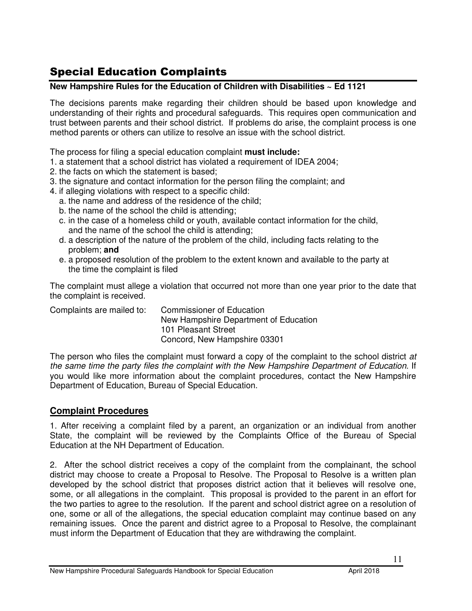### Special Education Complaints

#### **New Hampshire Rules for the Education of Children with Disabilities ~ Ed 1121**

The decisions parents make regarding their children should be based upon knowledge and understanding of their rights and procedural safeguards. This requires open communication and trust between parents and their school district. If problems do arise, the complaint process is one method parents or others can utilize to resolve an issue with the school district.

The process for filing a special education complaint **must include:** 

- 1. a statement that a school district has violated a requirement of IDEA 2004;
- 2. the facts on which the statement is based;
- 3. the signature and contact information for the person filing the complaint; and
- 4. if alleging violations with respect to a specific child:
	- a. the name and address of the residence of the child;
	- b. the name of the school the child is attending;
	- c. in the case of a homeless child or youth, available contact information for the child, and the name of the school the child is attending;
	- d. a description of the nature of the problem of the child, including facts relating to the problem; **and**
	- e. a proposed resolution of the problem to the extent known and available to the party at the time the complaint is filed

The complaint must allege a violation that occurred not more than one year prior to the date that the complaint is received.

| Complaints are mailed to: | <b>Commissioner of Education</b>      |
|---------------------------|---------------------------------------|
|                           | New Hampshire Department of Education |
|                           | 101 Pleasant Street                   |
|                           | Concord, New Hampshire 03301          |

The person who files the complaint must forward a copy of the complaint to the school district at the same time the party files the complaint with the New Hampshire Department of Education. If you would like more information about the complaint procedures, contact the New Hampshire Department of Education, Bureau of Special Education.

#### **Complaint Procedures**

1. After receiving a complaint filed by a parent, an organization or an individual from another State, the complaint will be reviewed by the Complaints Office of the Bureau of Special Education at the NH Department of Education.

2. After the school district receives a copy of the complaint from the complainant, the school district may choose to create a Proposal to Resolve. The Proposal to Resolve is a written plan developed by the school district that proposes district action that it believes will resolve one, some, or all allegations in the complaint. This proposal is provided to the parent in an effort for the two parties to agree to the resolution. If the parent and school district agree on a resolution of one, some or all of the allegations, the special education complaint may continue based on any remaining issues. Once the parent and district agree to a Proposal to Resolve, the complainant must inform the Department of Education that they are withdrawing the complaint.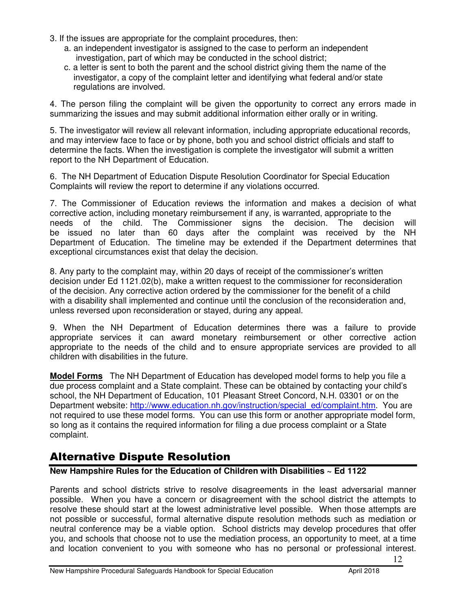- 3. If the issues are appropriate for the complaint procedures, then:
	- a. an independent investigator is assigned to the case to perform an independent investigation, part of which may be conducted in the school district;
	- c. a letter is sent to both the parent and the school district giving them the name of the investigator, a copy of the complaint letter and identifying what federal and/or state regulations are involved.

4. The person filing the complaint will be given the opportunity to correct any errors made in summarizing the issues and may submit additional information either orally or in writing.

5. The investigator will review all relevant information, including appropriate educational records, and may interview face to face or by phone, both you and school district officials and staff to determine the facts. When the investigation is complete the investigator will submit a written report to the NH Department of Education.

6. The NH Department of Education Dispute Resolution Coordinator for Special Education Complaints will review the report to determine if any violations occurred.

7. The Commissioner of Education reviews the information and makes a decision of what corrective action, including monetary reimbursement if any, is warranted, appropriate to the needs of the child. The Commissioner signs the decision. The decision will be issued no later than 60 days after the complaint was received by the NH Department of Education. The timeline may be extended if the Department determines that exceptional circumstances exist that delay the decision.

8. Any party to the complaint may, within 20 days of receipt of the commissioner's written decision under Ed 1121.02(b), make a written request to the commissioner for reconsideration of the decision. Any corrective action ordered by the commissioner for the benefit of a child with a disability shall implemented and continue until the conclusion of the reconsideration and, unless reversed upon reconsideration or stayed, during any appeal.

9. When the NH Department of Education determines there was a failure to provide appropriate services it can award monetary reimbursement or other corrective action appropriate to the needs of the child and to ensure appropriate services are provided to all children with disabilities in the future.

**Model Forms** The NH Department of Education has developed model forms to help you file a due process complaint and a State complaint. These can be obtained by contacting your child's school, the NH Department of Education, 101 Pleasant Street Concord, N.H. 03301 or on the Department website: http://www.education.nh.gov/instruction/special\_ed/complaint.htm. You are not required to use these model forms. You can use this form or another appropriate model form, so long as it contains the required information for filing a due process complaint or a State complaint.

### Alternative Dispute Resolution

#### **New Hampshire Rules for the Education of Children with Disabilities ~ Ed 1122**

Parents and school districts strive to resolve disagreements in the least adversarial manner possible. When you have a concern or disagreement with the school district the attempts to resolve these should start at the lowest administrative level possible. When those attempts are not possible or successful, formal alternative dispute resolution methods such as mediation or neutral conference may be a viable option. School districts may develop procedures that offer you, and schools that choose not to use the mediation process, an opportunity to meet, at a time and location convenient to you with someone who has no personal or professional interest.

12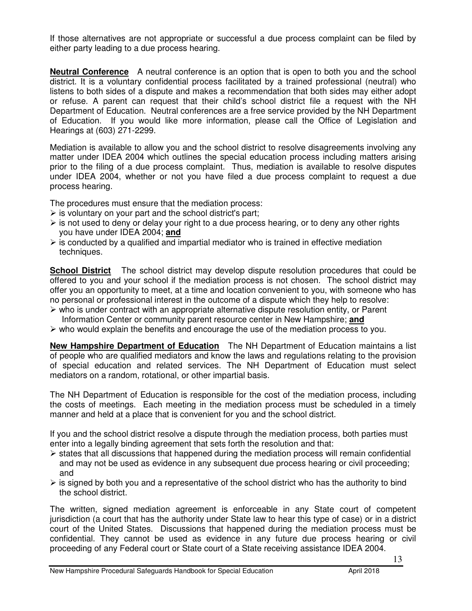If those alternatives are not appropriate or successful a due process complaint can be filed by either party leading to a due process hearing.

**Neutral Conference** A neutral conference is an option that is open to both you and the school district. It is a voluntary confidential process facilitated by a trained professional (neutral) who listens to both sides of a dispute and makes a recommendation that both sides may either adopt or refuse. A parent can request that their child's school district file a request with the NH Department of Education. Neutral conferences are a free service provided by the NH Department of Education. If you would like more information, please call the Office of Legislation and Hearings at (603) 271-2299.

Mediation is available to allow you and the school district to resolve disagreements involving any matter under IDEA 2004 which outlines the special education process including matters arising prior to the filing of a due process complaint. Thus, mediation is available to resolve disputes under IDEA 2004, whether or not you have filed a due process complaint to request a due process hearing.

The procedures must ensure that the mediation process:

- is voluntary on your part and the school district's part;
- > is not used to deny or delay your right to a due process hearing, or to deny any other rights you have under IDEA 2004; **and**
- $\triangleright$  is conducted by a qualified and impartial mediator who is trained in effective mediation techniques.

**School District** The school district may develop dispute resolution procedures that could be offered to you and your school if the mediation process is not chosen. The school district may offer you an opportunity to meet, at a time and location convenient to you, with someone who has no personal or professional interest in the outcome of a dispute which they help to resolve:

- who is under contract with an appropriate alternative dispute resolution entity, or Parent Information Center or community parent resource center in New Hampshire; **and**
- > who would explain the benefits and encourage the use of the mediation process to you.

**New Hampshire Department of Education** The NH Department of Education maintains a list of people who are qualified mediators and know the laws and regulations relating to the provision of special education and related services. The NH Department of Education must select mediators on a random, rotational, or other impartial basis.

The NH Department of Education is responsible for the cost of the mediation process, including the costs of meetings. Each meeting in the mediation process must be scheduled in a timely manner and held at a place that is convenient for you and the school district.

If you and the school district resolve a dispute through the mediation process, both parties must enter into a legally binding agreement that sets forth the resolution and that:

- > states that all discussions that happened during the mediation process will remain confidential and may not be used as evidence in any subsequent due process hearing or civil proceeding; and
- > is signed by both you and a representative of the school district who has the authority to bind the school district.

The written, signed mediation agreement is enforceable in any State court of competent jurisdiction (a court that has the authority under State law to hear this type of case) or in a district court of the United States. Discussions that happened during the mediation process must be confidential. They cannot be used as evidence in any future due process hearing or civil proceeding of any Federal court or State court of a State receiving assistance IDEA 2004.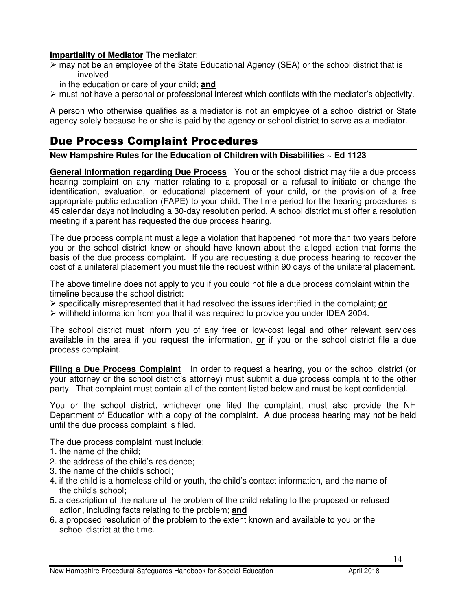#### **Impartiality of Mediator** The mediator:

- If may not be an employee of the State Educational Agency (SEA) or the school district that is involved
	- in the education or care of your child; **and**
- > must not have a personal or professional interest which conflicts with the mediator's objectivity.

A person who otherwise qualifies as a mediator is not an employee of a school district or State agency solely because he or she is paid by the agency or school district to serve as a mediator.

### Due Process Complaint Procedures

**New Hampshire Rules for the Education of Children with Disabilities ~ Ed 1123** 

**General Information regarding Due Process** You or the school district may file a due process hearing complaint on any matter relating to a proposal or a refusal to initiate or change the identification, evaluation, or educational placement of your child, or the provision of a free appropriate public education (FAPE) to your child. The time period for the hearing procedures is 45 calendar days not including a 30-day resolution period. A school district must offer a resolution meeting if a parent has requested the due process hearing.

The due process complaint must allege a violation that happened not more than two years before you or the school district knew or should have known about the alleged action that forms the basis of the due process complaint. If you are requesting a due process hearing to recover the cost of a unilateral placement you must file the request within 90 days of the unilateral placement.

The above timeline does not apply to you if you could not file a due process complaint within the timeline because the school district:

- specifically misrepresented that it had resolved the issues identified in the complaint; **or**
- > withheld information from you that it was required to provide you under IDEA 2004.

The school district must inform you of any free or low-cost legal and other relevant services available in the area if you request the information, **or** if you or the school district file a due process complaint.

**Filing a Due Process Complaint** In order to request a hearing, you or the school district (or your attorney or the school district's attorney) must submit a due process complaint to the other party. That complaint must contain all of the content listed below and must be kept confidential.

You or the school district, whichever one filed the complaint, must also provide the NH Department of Education with a copy of the complaint. A due process hearing may not be held until the due process complaint is filed.

The due process complaint must include:

- 1. the name of the child;
- 2. the address of the child's residence;
- 3. the name of the child's school;
- 4. if the child is a homeless child or youth, the child's contact information, and the name of the child's school;
- 5. a description of the nature of the problem of the child relating to the proposed or refused action, including facts relating to the problem; **and**
- 6. a proposed resolution of the problem to the extent known and available to you or the school district at the time.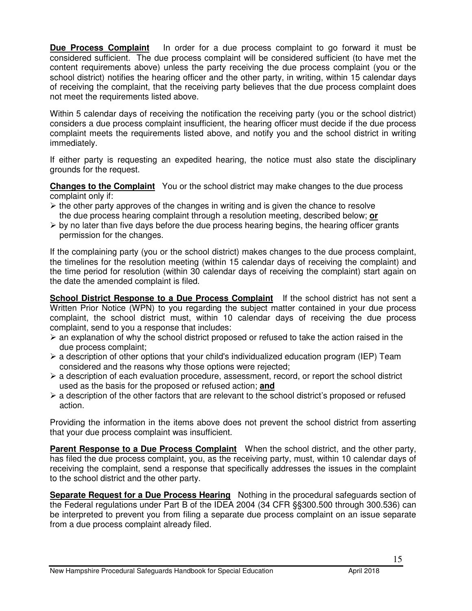**Due Process Complaint** In order for a due process complaint to go forward it must be considered sufficient. The due process complaint will be considered sufficient (to have met the content requirements above) unless the party receiving the due process complaint (you or the school district) notifies the hearing officer and the other party, in writing, within 15 calendar days of receiving the complaint, that the receiving party believes that the due process complaint does not meet the requirements listed above.

Within 5 calendar days of receiving the notification the receiving party (you or the school district) considers a due process complaint insufficient, the hearing officer must decide if the due process complaint meets the requirements listed above, and notify you and the school district in writing immediately.

If either party is requesting an expedited hearing, the notice must also state the disciplinary grounds for the request.

**Changes to the Complaint** You or the school district may make changes to the due process complaint only if:

- $\triangleright$  the other party approves of the changes in writing and is given the chance to resolve the due process hearing complaint through a resolution meeting, described below; **or**
- > by no later than five days before the due process hearing begins, the hearing officer grants permission for the changes.

If the complaining party (you or the school district) makes changes to the due process complaint, the timelines for the resolution meeting (within 15 calendar days of receiving the complaint) and the time period for resolution (within 30 calendar days of receiving the complaint) start again on the date the amended complaint is filed.

**School District Response to a Due Process Complaint** If the school district has not sent a Written Prior Notice (WPN) to you regarding the subject matter contained in your due process complaint, the school district must, within 10 calendar days of receiving the due process complaint, send to you a response that includes:

- > an explanation of why the school district proposed or refused to take the action raised in the due process complaint;
- > a description of other options that your child's individualized education program (IEP) Team considered and the reasons why those options were rejected;
- > a description of each evaluation procedure, assessment, record, or report the school district used as the basis for the proposed or refused action; **and**
- > a description of the other factors that are relevant to the school district's proposed or refused action.

Providing the information in the items above does not prevent the school district from asserting that your due process complaint was insufficient.

**Parent Response to a Due Process Complaint** When the school district, and the other party, has filed the due process complaint, you, as the receiving party, must, within 10 calendar days of receiving the complaint, send a response that specifically addresses the issues in the complaint to the school district and the other party.

**Separate Request for a Due Process Hearing** Nothing in the procedural safeguards section of the Federal regulations under Part B of the IDEA 2004 (34 CFR §§300.500 through 300.536) can be interpreted to prevent you from filing a separate due process complaint on an issue separate from a due process complaint already filed.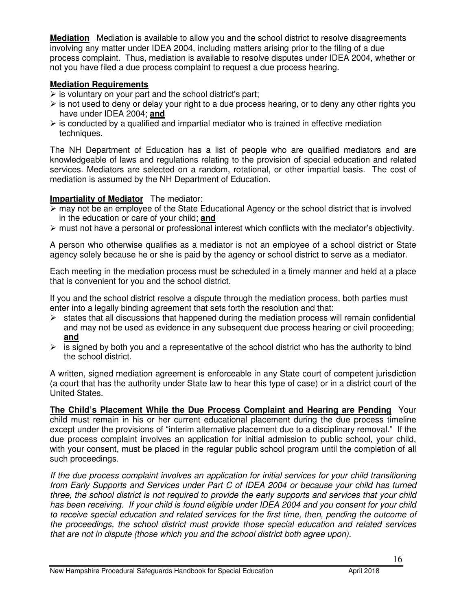**Mediation** Mediation is available to allow you and the school district to resolve disagreements involving any matter under IDEA 2004, including matters arising prior to the filing of a due process complaint. Thus, mediation is available to resolve disputes under IDEA 2004, whether or not you have filed a due process complaint to request a due process hearing.

#### **Mediation Requirements**

- $\triangleright$  is voluntary on your part and the school district's part;
- > is not used to deny or delay your right to a due process hearing, or to deny any other rights you have under IDEA 2004; **and**
- $\triangleright$  is conducted by a qualified and impartial mediator who is trained in effective mediation techniques.

The NH Department of Education has a list of people who are qualified mediators and are knowledgeable of laws and regulations relating to the provision of special education and related services. Mediators are selected on a random, rotational, or other impartial basis. The cost of mediation is assumed by the NH Department of Education.

#### **Impartiality of Mediator** The mediator:

- If may not be an employee of the State Educational Agency or the school district that is involved in the education or care of your child; **and**
- > must not have a personal or professional interest which conflicts with the mediator's objectivity.

A person who otherwise qualifies as a mediator is not an employee of a school district or State agency solely because he or she is paid by the agency or school district to serve as a mediator.

Each meeting in the mediation process must be scheduled in a timely manner and held at a place that is convenient for you and the school district.

If you and the school district resolve a dispute through the mediation process, both parties must enter into a legally binding agreement that sets forth the resolution and that:

- > states that all discussions that happened during the mediation process will remain confidential and may not be used as evidence in any subsequent due process hearing or civil proceeding; **and**
- $\triangleright$  is signed by both you and a representative of the school district who has the authority to bind the school district.

A written, signed mediation agreement is enforceable in any State court of competent jurisdiction (a court that has the authority under State law to hear this type of case) or in a district court of the United States.

**The Child's Placement While the Due Process Complaint and Hearing are Pending** Your child must remain in his or her current educational placement during the due process timeline except under the provisions of "interim alternative placement due to a disciplinary removal." If the due process complaint involves an application for initial admission to public school, your child, with your consent, must be placed in the regular public school program until the completion of all such proceedings.

If the due process complaint involves an application for initial services for your child transitioning from Early Supports and Services under Part C of IDEA 2004 or because your child has turned three, the school district is not required to provide the early supports and services that your child has been receiving. If your child is found eligible under IDEA 2004 and you consent for your child to receive special education and related services for the first time, then, pending the outcome of the proceedings, the school district must provide those special education and related services that are not in dispute (those which you and the school district both agree upon).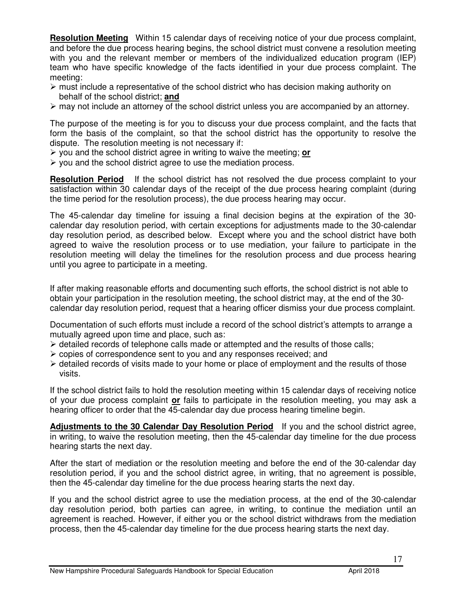**Resolution Meeting** Within 15 calendar days of receiving notice of your due process complaint, and before the due process hearing begins, the school district must convene a resolution meeting with you and the relevant member or members of the individualized education program (IEP) team who have specific knowledge of the facts identified in your due process complaint. The meeting:

- > must include a representative of the school district who has decision making authority on behalf of the school district; **and**
- > may not include an attorney of the school district unless you are accompanied by an attorney.

The purpose of the meeting is for you to discuss your due process complaint, and the facts that form the basis of the complaint, so that the school district has the opportunity to resolve the dispute. The resolution meeting is not necessary if:

- you and the school district agree in writing to waive the meeting; **or**
- you and the school district agree to use the mediation process.

**Resolution Period** If the school district has not resolved the due process complaint to your satisfaction within 30 calendar days of the receipt of the due process hearing complaint (during the time period for the resolution process), the due process hearing may occur.

The 45-calendar day timeline for issuing a final decision begins at the expiration of the 30 calendar day resolution period, with certain exceptions for adjustments made to the 30-calendar day resolution period, as described below. Except where you and the school district have both agreed to waive the resolution process or to use mediation, your failure to participate in the resolution meeting will delay the timelines for the resolution process and due process hearing until you agree to participate in a meeting.

If after making reasonable efforts and documenting such efforts, the school district is not able to obtain your participation in the resolution meeting, the school district may, at the end of the 30 calendar day resolution period, request that a hearing officer dismiss your due process complaint.

Documentation of such efforts must include a record of the school district's attempts to arrange a mutually agreed upon time and place, such as:

- > detailed records of telephone calls made or attempted and the results of those calls;
- copies of correspondence sent to you and any responses received; and
- > detailed records of visits made to your home or place of employment and the results of those visits.

If the school district fails to hold the resolution meeting within 15 calendar days of receiving notice of your due process complaint **or** fails to participate in the resolution meeting, you may ask a hearing officer to order that the 45-calendar day due process hearing timeline begin.

**Adjustments to the 30 Calendar Day Resolution Period** If you and the school district agree, in writing, to waive the resolution meeting, then the 45-calendar day timeline for the due process hearing starts the next day.

After the start of mediation or the resolution meeting and before the end of the 30-calendar day resolution period, if you and the school district agree, in writing, that no agreement is possible, then the 45-calendar day timeline for the due process hearing starts the next day.

If you and the school district agree to use the mediation process, at the end of the 30-calendar day resolution period, both parties can agree, in writing, to continue the mediation until an agreement is reached. However, if either you or the school district withdraws from the mediation process, then the 45-calendar day timeline for the due process hearing starts the next day.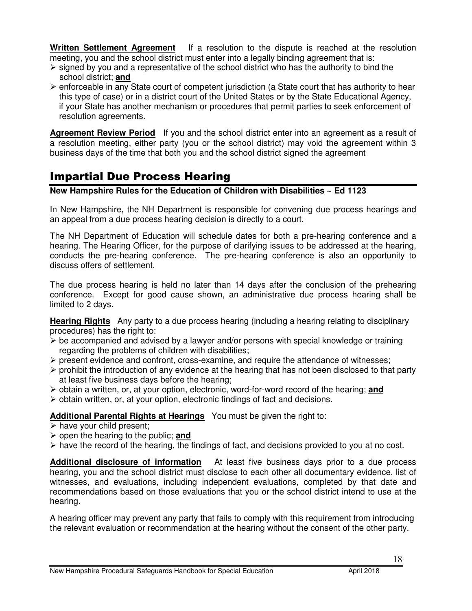**Written Settlement Agreement** If a resolution to the dispute is reached at the resolution meeting, you and the school district must enter into a legally binding agreement that is:

- > signed by you and a representative of the school district who has the authority to bind the school district; **and**
- > enforceable in any State court of competent jurisdiction (a State court that has authority to hear this type of case) or in a district court of the United States or by the State Educational Agency, if your State has another mechanism or procedures that permit parties to seek enforcement of resolution agreements.

**Agreement Review Period** If you and the school district enter into an agreement as a result of a resolution meeting, either party (you or the school district) may void the agreement within 3 business days of the time that both you and the school district signed the agreement

### Impartial Due Process Hearing

#### **New Hampshire Rules for the Education of Children with Disabilities ~ Ed 1123**

In New Hampshire, the NH Department is responsible for convening due process hearings and an appeal from a due process hearing decision is directly to a court.

The NH Department of Education will schedule dates for both a pre-hearing conference and a hearing. The Hearing Officer, for the purpose of clarifying issues to be addressed at the hearing, conducts the pre-hearing conference. The pre-hearing conference is also an opportunity to discuss offers of settlement.

The due process hearing is held no later than 14 days after the conclusion of the prehearing conference. Except for good cause shown, an administrative due process hearing shall be limited to 2 days.

**Hearing Rights** Any party to a due process hearing (including a hearing relating to disciplinary procedures) has the right to:

- $\triangleright$  be accompanied and advised by a lawyer and/or persons with special knowledge or training regarding the problems of children with disabilities;
- > present evidence and confront, cross-examine, and require the attendance of witnesses;
- > prohibit the introduction of any evidence at the hearing that has not been disclosed to that party at least five business days before the hearing;
- > obtain a written, or, at your option, electronic, word-for-word record of the hearing; and
- > obtain written, or, at your option, electronic findings of fact and decisions.

#### **Additional Parental Rights at Hearings** You must be given the right to:

- have your child present;
- open the hearing to the public; **and**
- > have the record of the hearing, the findings of fact, and decisions provided to you at no cost.

**Additional disclosure of information** At least five business days prior to a due process hearing, you and the school district must disclose to each other all documentary evidence, list of witnesses, and evaluations, including independent evaluations, completed by that date and recommendations based on those evaluations that you or the school district intend to use at the hearing.

A hearing officer may prevent any party that fails to comply with this requirement from introducing the relevant evaluation or recommendation at the hearing without the consent of the other party.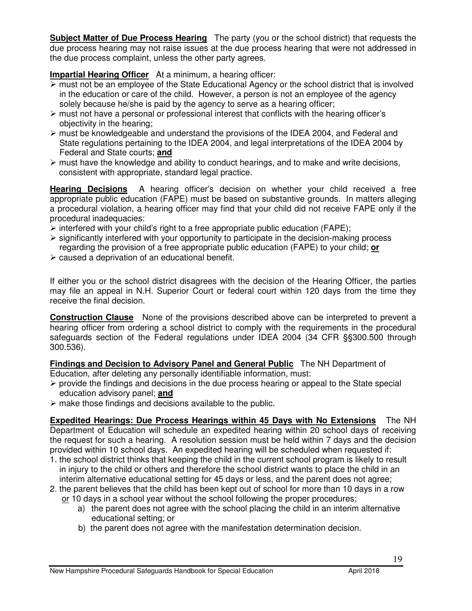**Subject Matter of Due Process Hearing** The party (you or the school district) that requests the due process hearing may not raise issues at the due process hearing that were not addressed in the due process complaint, unless the other party agrees.

#### **Impartial Hearing Officer** At a minimum, a hearing officer:

- > must not be an employee of the State Educational Agency or the school district that is involved in the education or care of the child. However, a person is not an employee of the agency solely because he/she is paid by the agency to serve as a hearing officer;
- must not have a personal or professional interest that conflicts with the hearing officer's objectivity in the hearing;
- > must be knowledgeable and understand the provisions of the IDEA 2004, and Federal and State regulations pertaining to the IDEA 2004, and legal interpretations of the IDEA 2004 by Federal and State courts; **and**
- > must have the knowledge and ability to conduct hearings, and to make and write decisions, consistent with appropriate, standard legal practice.

**Hearing Decisions** A hearing officer's decision on whether your child received a free appropriate public education (FAPE) must be based on substantive grounds. In matters alleging a procedural violation, a hearing officer may find that your child did not receive FAPE only if the procedural inadequacies:

- $\triangleright$  interfered with your child's right to a free appropriate public education (FAPE);
- > significantly interfered with your opportunity to participate in the decision-making process regarding the provision of a free appropriate public education (FAPE) to your child; **or**
- > caused a deprivation of an educational benefit.

If either you or the school district disagrees with the decision of the Hearing Officer, the parties may file an appeal in N.H. Superior Court or federal court within 120 days from the time they receive the final decision.

**Construction Clause** None of the provisions described above can be interpreted to prevent a hearing officer from ordering a school district to comply with the requirements in the procedural safeguards section of the Federal regulations under IDEA 2004 (34 CFR §§300.500 through 300.536).

**Findings and Decision to Advisory Panel and General Public** The NH Department of Education, after deleting any personally identifiable information, must:

- provide the findings and decisions in the due process hearing or appeal to the State special education advisory panel; **and**
- make those findings and decisions available to the public.

**Expedited Hearings: Due Process Hearings within 45 Days with No Extensions** The NH Department of Education will schedule an expedited hearing within 20 school days of receiving the request for such a hearing. A resolution session must be held within 7 days and the decision provided within 10 school days. An expedited hearing will be scheduled when requested if:

- 1. the school district thinks that keeping the child in the current school program is likely to result in injury to the child or others and therefore the school district wants to place the child in an interim alternative educational setting for 45 days or less, and the parent does not agree;
- 2. the parent believes that the child has been kept out of school for more than 10 days in a row or 10 days in a school year without the school following the proper procedures:
	- a) the parent does not agree with the school placing the child in an interim alternative educational setting; or
	- b) the parent does not agree with the manifestation determination decision.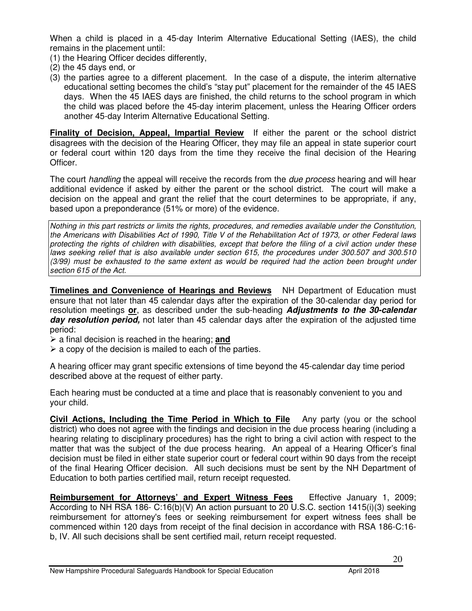When a child is placed in a 45-day Interim Alternative Educational Setting (IAES), the child remains in the placement until:

- (1) the Hearing Officer decides differently,
- (2) the 45 days end, or
- (3) the parties agree to a different placement. In the case of a dispute, the interim alternative educational setting becomes the child's "stay put" placement for the remainder of the 45 IAES days. When the 45 IAES days are finished, the child returns to the school program in which the child was placed before the 45-day interim placement, unless the Hearing Officer orders another 45-day Interim Alternative Educational Setting.

**Finality of Decision, Appeal, Impartial Review** If either the parent or the school district disagrees with the decision of the Hearing Officer, they may file an appeal in state superior court or federal court within 120 days from the time they receive the final decision of the Hearing Officer.

The court handling the appeal will receive the records from the *due process* hearing and will hear additional evidence if asked by either the parent or the school district. The court will make a decision on the appeal and grant the relief that the court determines to be appropriate, if any, based upon a preponderance (51% or more) of the evidence.

Nothing in this part restricts or limits the rights, procedures, and remedies available under the Constitution, the Americans with Disabilities Act of 1990, Title V of the Rehabilitation Act of 1973, or other Federal laws protecting the rights of children with disabilities, except that before the filing of a civil action under these laws seeking relief that is also available under section 615, the procedures under 300.507 and 300.510 (3/99) must be exhausted to the same extent as would be required had the action been brought under section 615 of the Act.

**Timelines and Convenience of Hearings and Reviews** NH Department of Education must ensure that not later than 45 calendar days after the expiration of the 30-calendar day period for resolution meetings **or**, as described under the sub-heading **Adjustments to the 30-calendar day resolution period,** not later than 45 calendar days after the expiration of the adjusted time period:

- a final decision is reached in the hearing; **and**
- $\triangleright$  a copy of the decision is mailed to each of the parties.

A hearing officer may grant specific extensions of time beyond the 45-calendar day time period described above at the request of either party.

Each hearing must be conducted at a time and place that is reasonably convenient to you and your child.

**Civil Actions, Including the Time Period in Which to File** Any party (you or the school district) who does not agree with the findings and decision in the due process hearing (including a hearing relating to disciplinary procedures) has the right to bring a civil action with respect to the matter that was the subject of the due process hearing. An appeal of a Hearing Officer's final decision must be filed in either state superior court or federal court within 90 days from the receipt of the final Hearing Officer decision. All such decisions must be sent by the NH Department of Education to both parties certified mail, return receipt requested.

**Reimbursement for Attorneys' and Expert Witness Fees** Effective January 1, 2009; According to NH RSA 186- C:16(b)(V) An action pursuant to 20 U.S.C. section 1415(i)(3) seeking reimbursement for attorney's fees or seeking reimbursement for expert witness fees shall be commenced within 120 days from receipt of the final decision in accordance with RSA 186-C:16 b, IV. All such decisions shall be sent certified mail, return receipt requested.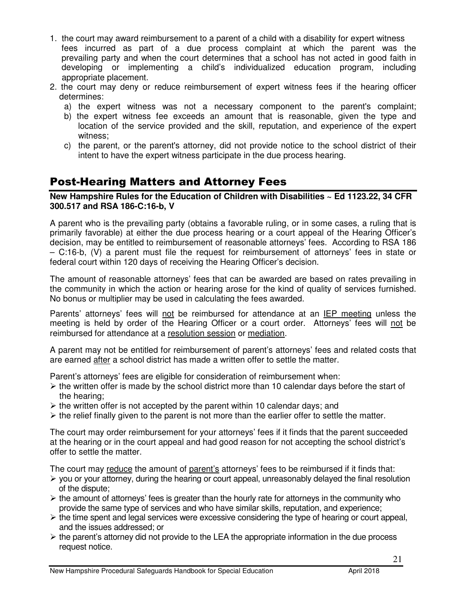- 1. the court may award reimbursement to a parent of a child with a disability for expert witness fees incurred as part of a due process complaint at which the parent was the prevailing party and when the court determines that a school has not acted in good faith in developing or implementing a child's individualized education program, including appropriate placement.
- 2. the court may deny or reduce reimbursement of expert witness fees if the hearing officer determines:
	- a) the expert witness was not a necessary component to the parent's complaint;
	- b) the expert witness fee exceeds an amount that is reasonable, given the type and location of the service provided and the skill, reputation, and experience of the expert witness;
	- c) the parent, or the parent's attorney, did not provide notice to the school district of their intent to have the expert witness participate in the due process hearing.

### Post-Hearing Matters and Attorney Fees

**New Hampshire Rules for the Education of Children with Disabilities ~ Ed 1123.22, 34 CFR 300.517 and RSA 186-C:16-b, V** 

A parent who is the prevailing party (obtains a favorable ruling, or in some cases, a ruling that is primarily favorable) at either the due process hearing or a court appeal of the Hearing Officer's decision, may be entitled to reimbursement of reasonable attorneys' fees. According to RSA 186 – C:16-b, (V) a parent must file the request for reimbursement of attorneys' fees in state or federal court within 120 days of receiving the Hearing Officer's decision.

The amount of reasonable attorneys' fees that can be awarded are based on rates prevailing in the community in which the action or hearing arose for the kind of quality of services furnished. No bonus or multiplier may be used in calculating the fees awarded.

Parents' attorneys' fees will not be reimbursed for attendance at an IEP meeting unless the meeting is held by order of the Hearing Officer or a court order. Attorneys' fees will not be reimbursed for attendance at a resolution session or mediation.

A parent may not be entitled for reimbursement of parent's attorneys' fees and related costs that are earned after a school district has made a written offer to settle the matter.

Parent's attorneys' fees are eligible for consideration of reimbursement when:

- > the written offer is made by the school district more than 10 calendar days before the start of the hearing;
- > the written offer is not accepted by the parent within 10 calendar days; and
- > the relief finally given to the parent is not more than the earlier offer to settle the matter.

The court may order reimbursement for your attorneys' fees if it finds that the parent succeeded at the hearing or in the court appeal and had good reason for not accepting the school district's offer to settle the matter.

The court may reduce the amount of parent's attorneys' fees to be reimbursed if it finds that:

- > you or your attorney, during the hearing or court appeal, unreasonably delayed the final resolution of the dispute;
- > the amount of attorneys' fees is greater than the hourly rate for attorneys in the community who provide the same type of services and who have similar skills, reputation, and experience;
- > the time spent and legal services were excessive considering the type of hearing or court appeal, and the issues addressed; or
- > the parent's attorney did not provide to the LEA the appropriate information in the due process request notice.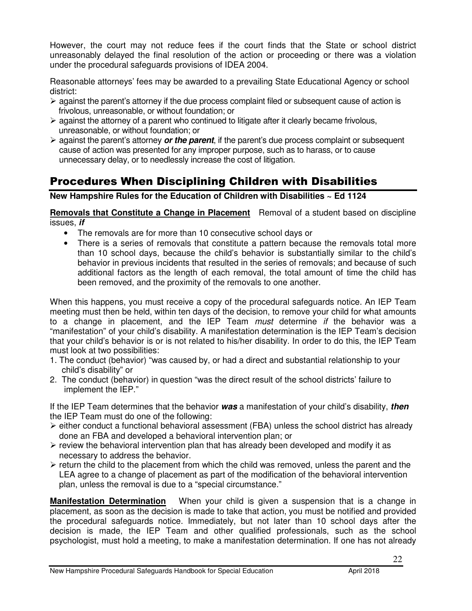However, the court may not reduce fees if the court finds that the State or school district unreasonably delayed the final resolution of the action or proceeding or there was a violation under the procedural safeguards provisions of IDEA 2004.

Reasonable attorneys' fees may be awarded to a prevailing State Educational Agency or school district:

- > against the parent's attorney if the due process complaint filed or subsequent cause of action is frivolous, unreasonable, or without foundation; or
- > against the attorney of a parent who continued to litigate after it clearly became frivolous, unreasonable, or without foundation; or
- > against the parent's attorney **or the parent**, if the parent's due process complaint or subsequent cause of action was presented for any improper purpose, such as to harass, or to cause unnecessary delay, or to needlessly increase the cost of litigation.

### Procedures When Disciplining Children with Disabilities

**New Hampshire Rules for the Education of Children with Disabilities ~ Ed 1124** 

**Removals that Constitute a Change in Placement** Removal of a student based on discipline issues, **if** 

- The removals are for more than 10 consecutive school days or
- There is a series of removals that constitute a pattern because the removals total more than 10 school days, because the child's behavior is substantially similar to the child's behavior in previous incidents that resulted in the series of removals; and because of such additional factors as the length of each removal, the total amount of time the child has been removed, and the proximity of the removals to one another.

When this happens, you must receive a copy of the procedural safeguards notice. An IEP Team meeting must then be held, within ten days of the decision, to remove your child for what amounts to a change in placement, and the IEP Team must determine if the behavior was a "manifestation" of your child's disability. A manifestation determination is the IEP Team's decision that your child's behavior is or is not related to his/her disability. In order to do this, the IEP Team must look at two possibilities:

- 1. The conduct (behavior) "was caused by, or had a direct and substantial relationship to your child's disability" or
- 2. The conduct (behavior) in question "was the direct result of the school districts' failure to implement the IEP."

If the IEP Team determines that the behavior **was** a manifestation of your child's disability, **then**  the IEP Team must do one of the following:

- either conduct a functional behavioral assessment (FBA) unless the school district has already done an FBA and developed a behavioral intervention plan; or
- review the behavioral intervention plan that has already been developed and modify it as necessary to address the behavior.
- > return the child to the placement from which the child was removed, unless the parent and the LEA agree to a change of placement as part of the modification of the behavioral intervention plan, unless the removal is due to a "special circumstance."

**Manifestation Determination** When your child is given a suspension that is a change in placement, as soon as the decision is made to take that action, you must be notified and provided the procedural safeguards notice. Immediately, but not later than 10 school days after the decision is made, the IEP Team and other qualified professionals, such as the school psychologist, must hold a meeting, to make a manifestation determination. If one has not already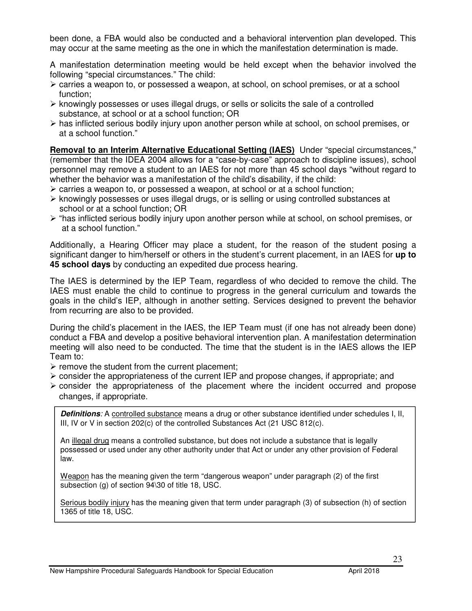been done, a FBA would also be conducted and a behavioral intervention plan developed. This may occur at the same meeting as the one in which the manifestation determination is made.

A manifestation determination meeting would be held except when the behavior involved the following "special circumstances." The child:

- > carries a weapon to, or possessed a weapon, at school, on school premises, or at a school function;
- knowingly possesses or uses illegal drugs, or sells or solicits the sale of a controlled substance, at school or at a school function; OR
- > has inflicted serious bodily injury upon another person while at school, on school premises, or at a school function."

**Removal to an Interim Alternative Educational Setting (IAES)** Under "special circumstances," (remember that the IDEA 2004 allows for a "case-by-case" approach to discipline issues), school personnel may remove a student to an IAES for not more than 45 school days "without regard to whether the behavior was a manifestation of the child's disability, if the child:

- > carries a weapon to, or possessed a weapon, at school or at a school function;
- knowingly possesses or uses illegal drugs, or is selling or using controlled substances at school or at a school function; OR
- > "has inflicted serious bodily injury upon another person while at school, on school premises, or at a school function."

Additionally, a Hearing Officer may place a student, for the reason of the student posing a significant danger to him/herself or others in the student's current placement, in an IAES for **up to 45 school days** by conducting an expedited due process hearing.

The IAES is determined by the IEP Team, regardless of who decided to remove the child. The IAES must enable the child to continue to progress in the general curriculum and towards the goals in the child's IEP, although in another setting. Services designed to prevent the behavior from recurring are also to be provided.

During the child's placement in the IAES, the IEP Team must (if one has not already been done) conduct a FBA and develop a positive behavioral intervention plan. A manifestation determination meeting will also need to be conducted. The time that the student is in the IAES allows the IEP Team to:

- > remove the student from the current placement;
- consider the appropriateness of the current IEP and propose changes, if appropriate; and
- consider the appropriateness of the placement where the incident occurred and propose changes, if appropriate.

**Definitions**: A controlled substance means a drug or other substance identified under schedules I, II, III, IV or V in section 202(c) of the controlled Substances Act (21 USC 812(c).

An illegal drug means a controlled substance, but does not include a substance that is legally possessed or used under any other authority under that Act or under any other provision of Federal law.

Weapon has the meaning given the term "dangerous weapon" under paragraph (2) of the first subsection (g) of section 94\30 of title 18, USC.

Serious bodily injury has the meaning given that term under paragraph (3) of subsection (h) of section 1365 of title 18, USC.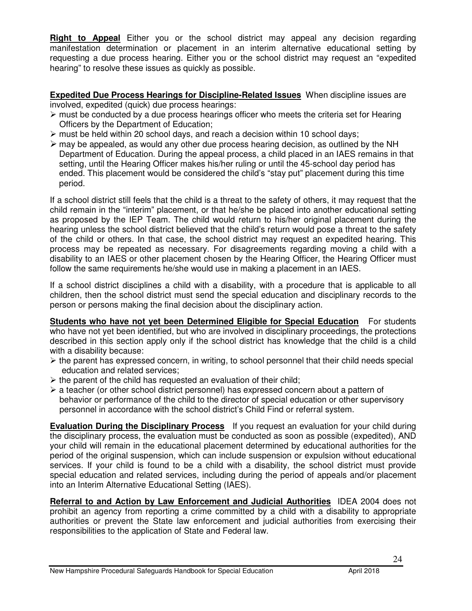**Right to Appeal** Either you or the school district may appeal any decision regarding manifestation determination or placement in an interim alternative educational setting by requesting a due process hearing. Either you or the school district may request an "expedited hearing" to resolve these issues as quickly as possible.

**Expedited Due Process Hearings for Discipline-Related Issues** When discipline issues are involved, expedited (quick) due process hearings:

- > must be conducted by a due process hearings officer who meets the criteria set for Hearing Officers by the Department of Education;
- > must be held within 20 school days, and reach a decision within 10 school days;
- > may be appealed, as would any other due process hearing decision, as outlined by the NH Department of Education. During the appeal process, a child placed in an IAES remains in that setting, until the Hearing Officer makes his/her ruling or until the 45-school day period has ended. This placement would be considered the child's "stay put" placement during this time period.

If a school district still feels that the child is a threat to the safety of others, it may request that the child remain in the "interim" placement, or that he/she be placed into another educational setting as proposed by the IEP Team. The child would return to his/her original placement during the hearing unless the school district believed that the child's return would pose a threat to the safety of the child or others. In that case, the school district may request an expedited hearing. This process may be repeated as necessary. For disagreements regarding moving a child with a disability to an IAES or other placement chosen by the Hearing Officer, the Hearing Officer must follow the same requirements he/she would use in making a placement in an IAES.

If a school district disciplines a child with a disability, with a procedure that is applicable to all children, then the school district must send the special education and disciplinary records to the person or persons making the final decision about the disciplinary action.

**Students who have not yet been Determined Eligible for Special Education** For students who have not yet been identified, but who are involved in disciplinary proceedings, the protections described in this section apply only if the school district has knowledge that the child is a child with a disability because:

- > the parent has expressed concern, in writing, to school personnel that their child needs special education and related services;
- $\triangleright$  the parent of the child has requested an evaluation of their child;
- > a teacher (or other school district personnel) has expressed concern about a pattern of behavior or performance of the child to the director of special education or other supervisory personnel in accordance with the school district's Child Find or referral system.

**Evaluation During the Disciplinary Process** If you request an evaluation for your child during the disciplinary process, the evaluation must be conducted as soon as possible (expedited), AND your child will remain in the educational placement determined by educational authorities for the period of the original suspension, which can include suspension or expulsion without educational services. If your child is found to be a child with a disability, the school district must provide special education and related services, including during the period of appeals and/or placement into an Interim Alternative Educational Setting (IAES).

**Referral to and Action by Law Enforcement and Judicial Authorities** IDEA 2004 does not prohibit an agency from reporting a crime committed by a child with a disability to appropriate authorities or prevent the State law enforcement and judicial authorities from exercising their responsibilities to the application of State and Federal law.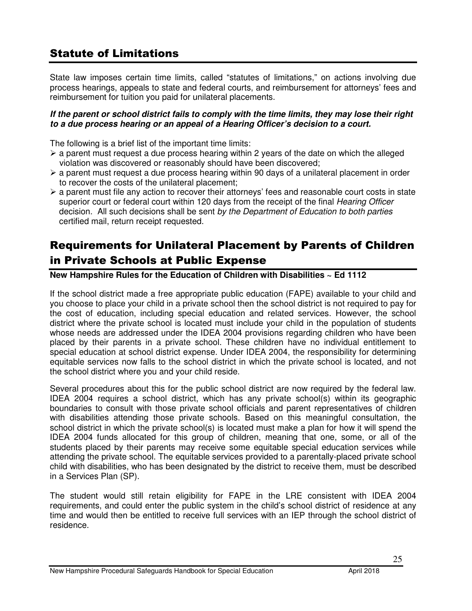### Statute of Limitations

State law imposes certain time limits, called "statutes of limitations," on actions involving due process hearings, appeals to state and federal courts, and reimbursement for attorneys' fees and reimbursement for tuition you paid for unilateral placements.

#### **If the parent or school district fails to comply with the time limits, they may lose their right to a due process hearing or an appeal of a Hearing Officer's decision to a court.**

The following is a brief list of the important time limits:

- > a parent must request a due process hearing within 2 years of the date on which the alleged violation was discovered or reasonably should have been discovered;
- > a parent must request a due process hearing within 90 days of a unilateral placement in order to recover the costs of the unilateral placement;
- > a parent must file any action to recover their attorneys' fees and reasonable court costs in state superior court or federal court within 120 days from the receipt of the final *Hearing Officer* decision. All such decisions shall be sent by the Department of Education to both parties certified mail, return receipt requested.

### Requirements for Unilateral Placement by Parents of Children in Private Schools at Public Expense

**New Hampshire Rules for the Education of Children with Disabilities ~ Ed 1112** 

If the school district made a free appropriate public education (FAPE) available to your child and you choose to place your child in a private school then the school district is not required to pay for the cost of education, including special education and related services. However, the school district where the private school is located must include your child in the population of students whose needs are addressed under the IDEA 2004 provisions regarding children who have been placed by their parents in a private school. These children have no individual entitlement to special education at school district expense. Under IDEA 2004, the responsibility for determining equitable services now falls to the school district in which the private school is located, and not the school district where you and your child reside.

Several procedures about this for the public school district are now required by the federal law. IDEA 2004 requires a school district, which has any private school(s) within its geographic boundaries to consult with those private school officials and parent representatives of children with disabilities attending those private schools. Based on this meaningful consultation, the school district in which the private school(s) is located must make a plan for how it will spend the IDEA 2004 funds allocated for this group of children, meaning that one, some, or all of the students placed by their parents may receive some equitable special education services while attending the private school. The equitable services provided to a parentally-placed private school child with disabilities, who has been designated by the district to receive them, must be described in a Services Plan (SP).

The student would still retain eligibility for FAPE in the LRE consistent with IDEA 2004 requirements, and could enter the public system in the child's school district of residence at any time and would then be entitled to receive full services with an IEP through the school district of residence.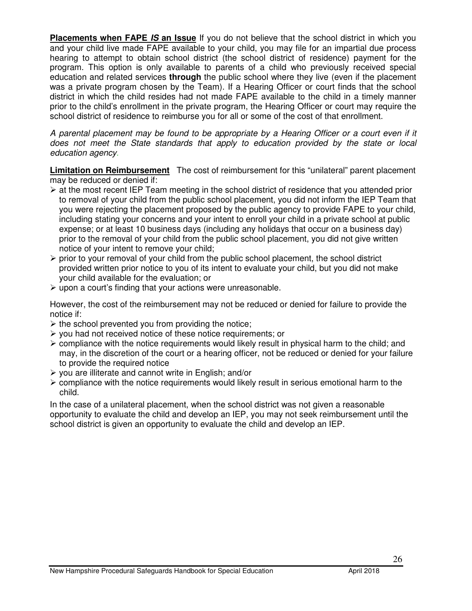**Placements when FAPE IS an Issue** If you do not believe that the school district in which you and your child live made FAPE available to your child, you may file for an impartial due process hearing to attempt to obtain school district (the school district of residence) payment for the program. This option is only available to parents of a child who previously received special education and related services **through** the public school where they live (even if the placement was a private program chosen by the Team). If a Hearing Officer or court finds that the school district in which the child resides had not made FAPE available to the child in a timely manner prior to the child's enrollment in the private program, the Hearing Officer or court may require the school district of residence to reimburse you for all or some of the cost of that enrollment.

A parental placement may be found to be appropriate by a Hearing Officer or a court even if it does not meet the State standards that apply to education provided by the state or local education agency.

**Limitation on Reimbursement** The cost of reimbursement for this "unilateral" parent placement may be reduced or denied if:

- > at the most recent IEP Team meeting in the school district of residence that you attended prior to removal of your child from the public school placement, you did not inform the IEP Team that you were rejecting the placement proposed by the public agency to provide FAPE to your child, including stating your concerns and your intent to enroll your child in a private school at public expense; or at least 10 business days (including any holidays that occur on a business day) prior to the removal of your child from the public school placement, you did not give written notice of your intent to remove your child;
- > prior to your removal of your child from the public school placement, the school district provided written prior notice to you of its intent to evaluate your child, but you did not make your child available for the evaluation; or
- > upon a court's finding that your actions were unreasonable.

However, the cost of the reimbursement may not be reduced or denied for failure to provide the notice if:

- > the school prevented you from providing the notice;
- you had not received notice of these notice requirements; or
- compliance with the notice requirements would likely result in physical harm to the child; and may, in the discretion of the court or a hearing officer, not be reduced or denied for your failure to provide the required notice
- > you are illiterate and cannot write in English; and/or
- compliance with the notice requirements would likely result in serious emotional harm to the child.

In the case of a unilateral placement, when the school district was not given a reasonable opportunity to evaluate the child and develop an IEP, you may not seek reimbursement until the school district is given an opportunity to evaluate the child and develop an IEP.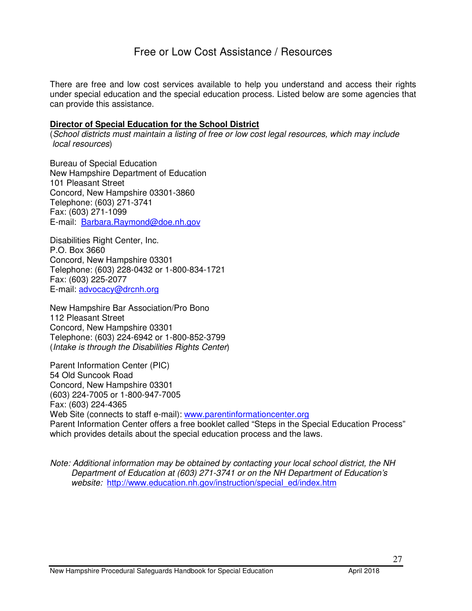### Free or Low Cost Assistance / Resources

There are free and low cost services available to help you understand and access their rights under special education and the special education process. Listed below are some agencies that can provide this assistance.

#### **Director of Special Education for the School District**

(School districts must maintain a listing of free or low cost legal resources, which may include local resources)

Bureau of Special Education New Hampshire Department of Education 101 Pleasant Street Concord, New Hampshire 03301-3860 Telephone: (603) 271-3741 Fax: (603) 271-1099 E-mail: Barbara.Raymond@doe.nh.gov

Disabilities Right Center, Inc. P.O. Box 3660 Concord, New Hampshire 03301 Telephone: (603) 228-0432 or 1-800-834-1721 Fax: (603) 225-2077 E-mail: advocacy@drcnh.org

New Hampshire Bar Association/Pro Bono 112 Pleasant Street Concord, New Hampshire 03301 Telephone: (603) 224-6942 or 1-800-852-3799 (Intake is through the Disabilities Rights Center)

Parent Information Center (PIC) 54 Old Suncook Road Concord, New Hampshire 03301 (603) 224-7005 or 1-800-947-7005 Fax: (603) 224-4365 Web Site (connects to staff e-mail): www.parentinformationcenter.org Parent Information Center offers a free booklet called "Steps in the Special Education Process" which provides details about the special education process and the laws.

Note: Additional information may be obtained by contacting your local school district, the NH Department of Education at (603) 271-3741 or on the NH Department of Education's website: http://www.education.nh.gov/instruction/special\_ed/index.htm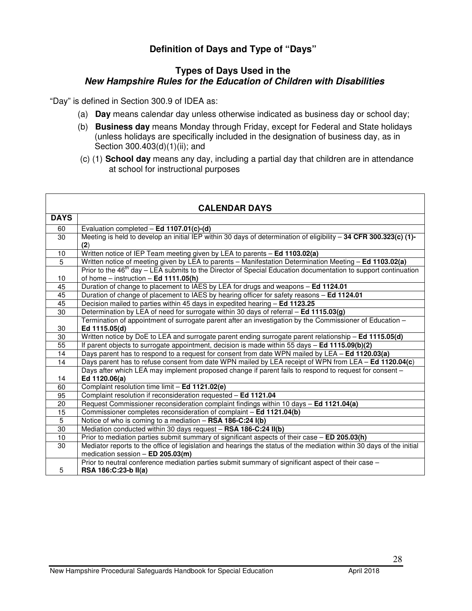#### **Definition of Days and Type of "Days"**

#### **Types of Days Used in the New Hampshire Rules for the Education of Children with Disabilities**

"Day" is defined in Section 300.9 of IDEA as:

- (a) **Day** means calendar day unless otherwise indicated as business day or school day;
- (b) **Business day** means Monday through Friday, except for Federal and State holidays (unless holidays are specifically included in the designation of business day, as in Section 300.403(d)(1)(ii); and
- (c) (1) **School day** means any day, including a partial day that children are in attendance at school for instructional purposes

| <b>CALENDAR DAYS</b> |                                                                                                                            |  |
|----------------------|----------------------------------------------------------------------------------------------------------------------------|--|
| <b>DAYS</b>          |                                                                                                                            |  |
| 60                   | Evaluation completed - Ed 1107.01(c)-(d)                                                                                   |  |
| 30                   | Meeting is held to develop an initial IEP within 30 days of determination of eligibility $-$ 34 CFR 300.323(c) (1)-        |  |
|                      | (2)                                                                                                                        |  |
| $\overline{10}$      | Written notice of IEP Team meeting given by LEA to parents - Ed 1103.02(a)                                                 |  |
| 5                    | Written notice of meeting given by LEA to parents - Manifestation Determination Meeting - Ed 1103.02(a)                    |  |
|                      | Prior to the 46 <sup>th</sup> day – LEA submits to the Director of Special Education documentation to support continuation |  |
| 10                   | of home $-$ instruction $-$ Ed 1111.05(h)                                                                                  |  |
| $\overline{45}$      | Duration of change to placement to IAES by LEA for drugs and weapons - Ed 1124.01                                          |  |
| 45                   | Duration of change of placement to IAES by hearing officer for safety reasons - Ed 1124.01                                 |  |
| 45                   | Decision mailed to parties within 45 days in expedited hearing - Ed 1123.25                                                |  |
| $\overline{30}$      | Determination by LEA of need for surrogate within 30 days of referral - Ed 1115.03(g)                                      |  |
|                      | Termination of appointment of surrogate parent after an investigation by the Commissioner of Education -                   |  |
| 30                   | Ed 1115.05(d)                                                                                                              |  |
| 30                   | Written notice by DoE to LEA and surrogate parent ending surrogate parent relationship - Ed 1115.05(d)                     |  |
| $\overline{55}$      | If parent objects to surrogate appointment, decision is made within 55 days - Ed 1115.09(b)(2)                             |  |
| 14                   | Days parent has to respond to a request for consent from date WPN mailed by LEA - Ed 1120.03(a)                            |  |
| 14                   | Days parent has to refuse consent from date WPN mailed by LEA receipt of WPN from LEA - Ed 1120.04(c)                      |  |
| 14                   | Days after which LEA may implement proposed change if parent fails to respond to request for consent -<br>Ed 1120.06(a)    |  |
| 60                   | Complaint resolution time limit - Ed 1121.02(e)                                                                            |  |
| 95                   | Complaint resolution if reconsideration requested - Ed 1121.04                                                             |  |
| 20                   | Request Commissioner reconsideration complaint findings within 10 days - Ed 1121.04(a)                                     |  |
| 15                   | Commissioner completes reconsideration of complaint - Ed 1121.04(b)                                                        |  |
| $\overline{5}$       | Notice of who is coming to a mediation - RSA 186-C:24 I(b)                                                                 |  |
| 30                   | Mediation conducted within 30 days request - RSA 186-C:24 II(b)                                                            |  |
| 10                   | Prior to mediation parties submit summary of significant aspects of their case - ED 205.03(h)                              |  |
| 30                   | Mediator reports to the office of legislation and hearings the status of the mediation within 30 days of the initial       |  |
|                      | medication session $-$ ED 205.03(m)                                                                                        |  |
| 5                    | Prior to neutral conference mediation parties submit summary of significant aspect of their case -<br>RSA 186:C:23-b II(a) |  |
|                      |                                                                                                                            |  |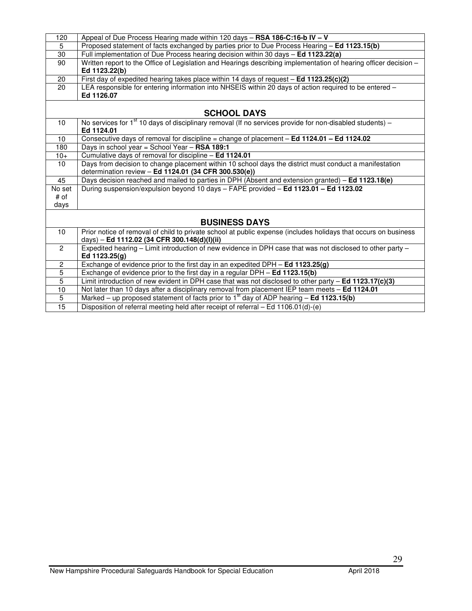| 120                  | Appeal of Due Process Hearing made within 120 days - RSA 186-C:16-b IV - V                                                                                      |  |
|----------------------|-----------------------------------------------------------------------------------------------------------------------------------------------------------------|--|
| 5                    | Proposed statement of facts exchanged by parties prior to Due Process Hearing - Ed 1123.15(b)                                                                   |  |
| $\overline{30}$      | Full implementation of Due Process hearing decision within 30 days - Ed 1123.22(a)                                                                              |  |
| 90                   | Written report to the Office of Legislation and Hearings describing implementation of hearing officer decision -<br>Ed 1123.22(b)                               |  |
| 20                   | First day of expedited hearing takes place within 14 days of request - Ed 1123.25(c)(2)                                                                         |  |
| 20                   | LEA responsible for entering information into NHSEIS within 20 days of action required to be entered -                                                          |  |
|                      | Ed 1126.07                                                                                                                                                      |  |
|                      |                                                                                                                                                                 |  |
|                      | <b>SCHOOL DAYS</b>                                                                                                                                              |  |
| 10                   | No services for $1st$ 10 days of disciplinary removal (If no services provide for non-disabled students) –<br>Ed 1124.01                                        |  |
| 10 <sup>1</sup>      | Consecutive days of removal for discipline = change of placement - Ed 1124.01 - Ed 1124.02                                                                      |  |
| 180                  | Days in school year = School Year - RSA 189:1                                                                                                                   |  |
| $10+$                | Cumulative days of removal for discipline - Ed 1124.01                                                                                                          |  |
| 10 <sup>1</sup>      | Days from decision to change placement within 10 school days the district must conduct a manifestation                                                          |  |
|                      | determination review - Ed 1124.01 (34 CFR 300.530(e))                                                                                                           |  |
| 45                   | Days decision reached and mailed to parties in DPH (Absent and extension granted) - Ed 1123.18(e)                                                               |  |
| No set               | During suspension/expulsion beyond 10 days - FAPE provided - Ed 1123.01 - Ed 1123.02                                                                            |  |
| # of                 |                                                                                                                                                                 |  |
| days                 |                                                                                                                                                                 |  |
| <b>BUSINESS DAYS</b> |                                                                                                                                                                 |  |
| 10                   | Prior notice of removal of child to private school at public expense (includes holidays that occurs on business<br>days) - Ed 1112.02 (34 CFR 300.148(d)(l)(ii) |  |
| $\overline{2}$       | Expedited hearing - Limit introduction of new evidence in DPH case that was not disclosed to other party -<br>Ed 1123.25(g)                                     |  |
| $\overline{c}$       | Exchange of evidence prior to the first day in an expedited DPH $-$ Ed 1123.25(g)                                                                               |  |
| 5                    | Exchange of evidence prior to the first day in a regular DPH - Ed 1123.15(b)                                                                                    |  |
| $\overline{5}$       | Limit introduction of new evident in DPH case that was not disclosed to other party - Ed 1123.17(c)(3)                                                          |  |
| 10                   | Not later than 10 days after a disciplinary removal from placement IEP team meets - Ed 1124.01                                                                  |  |
| $\overline{5}$       | Marked – up proposed statement of facts prior to $1st$ day of ADP hearing – <b>Ed 1123.15(b)</b>                                                                |  |
| $\overline{15}$      | Disposition of referral meeting held after receipt of referral - Ed 1106.01(d)-(e)                                                                              |  |
|                      |                                                                                                                                                                 |  |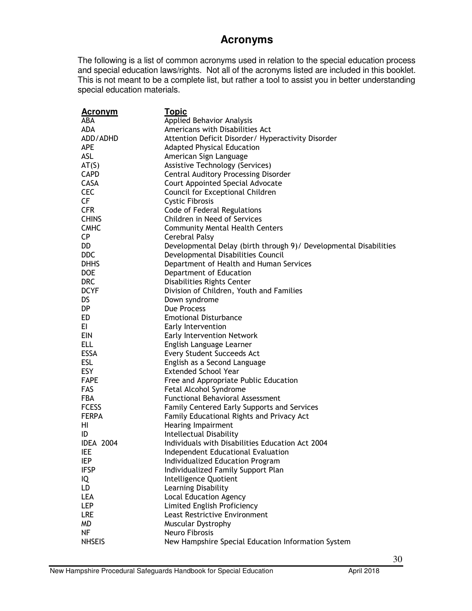### **Acronyms**

The following is a list of common acronyms used in relation to the special education process and special education laws/rights. Not all of the acronyms listed are included in this booklet. This is not meant to be a complete list, but rather a tool to assist you in better understanding special education materials.

| <u>Acronym</u>   | <b>Topic</b>                                                      |
|------------------|-------------------------------------------------------------------|
| ABA              | <b>Applied Behavior Analysis</b>                                  |
| ADA              | Americans with Disabilities Act                                   |
| ADD/ADHD         | Attention Deficit Disorder/ Hyperactivity Disorder                |
| <b>APE</b>       | <b>Adapted Physical Education</b>                                 |
| ASL              | American Sign Language                                            |
| AT(S)            | Assistive Technology (Services)                                   |
| <b>CAPD</b>      | <b>Central Auditory Processing Disorder</b>                       |
| CASA             | Court Appointed Special Advocate                                  |
| <b>CEC</b>       | Council for Exceptional Children                                  |
| CF               | <b>Cystic Fibrosis</b>                                            |
| <b>CFR</b>       | Code of Federal Regulations                                       |
| <b>CHINS</b>     | Children in Need of Services                                      |
| <b>CMHC</b>      | <b>Community Mental Health Centers</b>                            |
| <b>CP</b>        | Cerebral Palsy                                                    |
| DD               | Developmental Delay (birth through 9)/ Developmental Disabilities |
| <b>DDC</b>       | Developmental Disabilities Council                                |
| <b>DHHS</b>      | Department of Health and Human Services                           |
| <b>DOE</b>       | Department of Education                                           |
| <b>DRC</b>       | Disabilities Rights Center                                        |
| <b>DCYF</b>      | Division of Children, Youth and Families                          |
| DS               | Down syndrome                                                     |
| DP.              | Due Process                                                       |
| ED               | <b>Emotional Disturbance</b>                                      |
| EI               | Early Intervention                                                |
| <b>EIN</b>       | <b>Early Intervention Network</b>                                 |
| <b>ELL</b>       | English Language Learner                                          |
| <b>ESSA</b>      | Every Student Succeeds Act                                        |
| <b>ESL</b>       | English as a Second Language                                      |
| <b>ESY</b>       | <b>Extended School Year</b>                                       |
| <b>FAPE</b>      | Free and Appropriate Public Education                             |
| <b>FAS</b>       | Fetal Alcohol Syndrome                                            |
| <b>FBA</b>       | <b>Functional Behavioral Assessment</b>                           |
| <b>FCESS</b>     | <b>Family Centered Early Supports and Services</b>                |
| <b>FERPA</b>     | Family Educational Rights and Privacy Act                         |
| HI.              | Hearing Impairment                                                |
| ID               | Intellectual Disability                                           |
| <b>IDEA 2004</b> | Individuals with Disabilities Education Act 2004                  |
| IEE              | <b>Independent Educational Evaluation</b>                         |
| IEP              | Individualized Education Program                                  |
| <b>IFSP</b>      | Individualized Family Support Plan                                |
| IQ               | Intelligence Quotient                                             |
| LD               | Learning Disability                                               |
| <b>LEA</b>       | <b>Local Education Agency</b>                                     |
| <b>LEP</b>       | Limited English Proficiency                                       |
| <b>LRE</b>       | <b>Least Restrictive Environment</b>                              |
| MD               | Muscular Dystrophy                                                |
| NF               | Neuro Fibrosis                                                    |
| <b>NHSEIS</b>    | New Hampshire Special Education Information System                |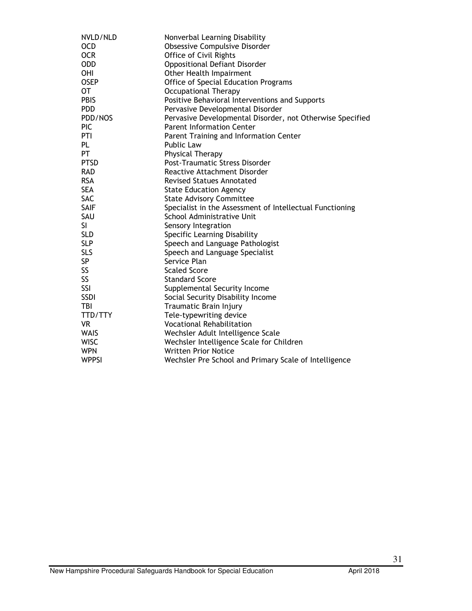| NVLD/NLD     | Nonverbal Learning Disability                             |
|--------------|-----------------------------------------------------------|
| <b>OCD</b>   | Obsessive Compulsive Disorder                             |
| <b>OCR</b>   | Office of Civil Rights                                    |
| <b>ODD</b>   | Oppositional Defiant Disorder                             |
| <b>OHI</b>   | Other Health Impairment                                   |
| <b>OSEP</b>  | Office of Special Education Programs                      |
| <b>OT</b>    | <b>Occupational Therapy</b>                               |
| <b>PBIS</b>  | Positive Behavioral Interventions and Supports            |
| <b>PDD</b>   | Pervasive Developmental Disorder                          |
| PDD/NOS      | Pervasive Developmental Disorder, not Otherwise Specified |
| <b>PIC</b>   | <b>Parent Information Center</b>                          |
| PTI          | Parent Training and Information Center                    |
| PL           | <b>Public Law</b>                                         |
| PT           | Physical Therapy                                          |
| <b>PTSD</b>  | Post-Traumatic Stress Disorder                            |
| <b>RAD</b>   | Reactive Attachment Disorder                              |
| <b>RSA</b>   | <b>Revised Statues Annotated</b>                          |
| <b>SEA</b>   | <b>State Education Agency</b>                             |
| <b>SAC</b>   | <b>State Advisory Committee</b>                           |
| <b>SAIF</b>  | Specialist in the Assessment of Intellectual Functioning  |
| SAU          | School Administrative Unit                                |
| <b>SI</b>    | Sensory Integration                                       |
| <b>SLD</b>   | Specific Learning Disability                              |
| <b>SLP</b>   | Speech and Language Pathologist                           |
| <b>SLS</b>   | Speech and Language Specialist                            |
| SP           | Service Plan                                              |
| SS           | <b>Scaled Score</b>                                       |
| SS           | <b>Standard Score</b>                                     |
| SSI          | Supplemental Security Income                              |
| SSDI         | Social Security Disability Income                         |
| TBI          | Traumatic Brain Injury                                    |
| TTD/TTY      | Tele-typewriting device                                   |
| <b>VR</b>    | <b>Vocational Rehabilitation</b>                          |
| <b>WAIS</b>  | Wechsler Adult Intelligence Scale                         |
| <b>WISC</b>  | Wechsler Intelligence Scale for Children                  |
| <b>WPN</b>   | <b>Written Prior Notice</b>                               |
| <b>WPPSI</b> | Wechsler Pre School and Primary Scale of Intelligence     |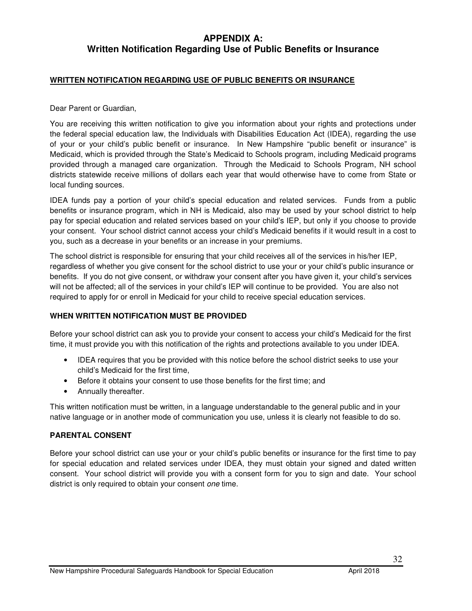#### **APPENDIX A: Written Notification Regarding Use of Public Benefits or Insurance**

#### **WRITTEN NOTIFICATION REGARDING USE OF PUBLIC BENEFITS OR INSURANCE**

Dear Parent or Guardian,

You are receiving this written notification to give you information about your rights and protections under the federal special education law, the Individuals with Disabilities Education Act (IDEA), regarding the use of your or your child's public benefit or insurance. In New Hampshire "public benefit or insurance" is Medicaid, which is provided through the State's Medicaid to Schools program, including Medicaid programs provided through a managed care organization. Through the Medicaid to Schools Program, NH school districts statewide receive millions of dollars each year that would otherwise have to come from State or local funding sources.

IDEA funds pay a portion of your child's special education and related services. Funds from a public benefits or insurance program, which in NH is Medicaid, also may be used by your school district to help pay for special education and related services based on your child's IEP, but only if you choose to provide your consent. Your school district cannot access your child's Medicaid benefits if it would result in a cost to you, such as a decrease in your benefits or an increase in your premiums.

The school district is responsible for ensuring that your child receives all of the services in his/her IEP, regardless of whether you give consent for the school district to use your or your child's public insurance or benefits. If you do not give consent, or withdraw your consent after you have given it, your child's services will not be affected; all of the services in your child's IEP will continue to be provided. You are also not required to apply for or enroll in Medicaid for your child to receive special education services.

#### **WHEN WRITTEN NOTIFICATION MUST BE PROVIDED**

Before your school district can ask you to provide your consent to access your child's Medicaid for the first time, it must provide you with this notification of the rights and protections available to you under IDEA.

- IDEA requires that you be provided with this notice before the school district seeks to use your child's Medicaid for the first time,
- Before it obtains your consent to use those benefits for the first time; and
- Annually thereafter.

This written notification must be written, in a language understandable to the general public and in your native language or in another mode of communication you use, unless it is clearly not feasible to do so.

#### **PARENTAL CONSENT**

Before your school district can use your or your child's public benefits or insurance for the first time to pay for special education and related services under IDEA, they must obtain your signed and dated written consent. Your school district will provide you with a consent form for you to sign and date. Your school district is only required to obtain your consent one time.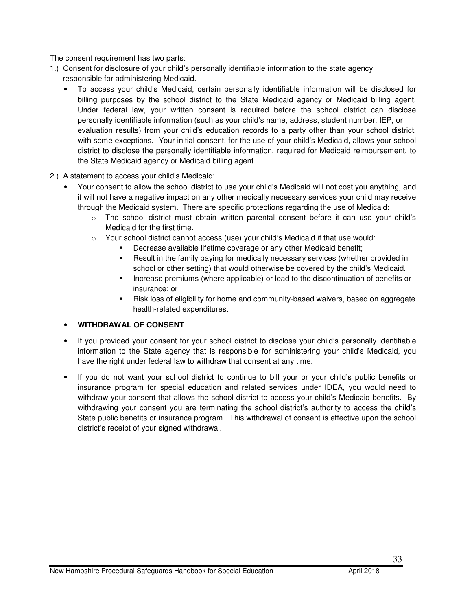The consent requirement has two parts:

- 1.) Consent for disclosure of your child's personally identifiable information to the state agency responsible for administering Medicaid.
	- To access your child's Medicaid, certain personally identifiable information will be disclosed for billing purposes by the school district to the State Medicaid agency or Medicaid billing agent. Under federal law, your written consent is required before the school district can disclose personally identifiable information (such as your child's name, address, student number, IEP, or evaluation results) from your child's education records to a party other than your school district, with some exceptions. Your initial consent, for the use of your child's Medicaid, allows your school district to disclose the personally identifiable information, required for Medicaid reimbursement, to the State Medicaid agency or Medicaid billing agent.
- 2.) A statement to access your child's Medicaid:
	- Your consent to allow the school district to use your child's Medicaid will not cost you anything, and it will not have a negative impact on any other medically necessary services your child may receive through the Medicaid system. There are specific protections regarding the use of Medicaid:
		- o The school district must obtain written parental consent before it can use your child's Medicaid for the first time.
		- $\circ$  Your school district cannot access (use) your child's Medicaid if that use would:
			- Decrease available lifetime coverage or any other Medicaid benefit;
			- Result in the family paying for medically necessary services (whether provided in school or other setting) that would otherwise be covered by the child's Medicaid.
			- **Increase premiums (where applicable) or lead to the discontinuation of benefits or** insurance; or
			- Risk loss of eligibility for home and community-based waivers, based on aggregate health-related expenditures.

#### • **WITHDRAWAL OF CONSENT**

- If you provided your consent for your school district to disclose your child's personally identifiable information to the State agency that is responsible for administering your child's Medicaid, you have the right under federal law to withdraw that consent at any time.
- If you do not want your school district to continue to bill your or your child's public benefits or insurance program for special education and related services under IDEA, you would need to withdraw your consent that allows the school district to access your child's Medicaid benefits. By withdrawing your consent you are terminating the school district's authority to access the child's State public benefits or insurance program. This withdrawal of consent is effective upon the school district's receipt of your signed withdrawal.